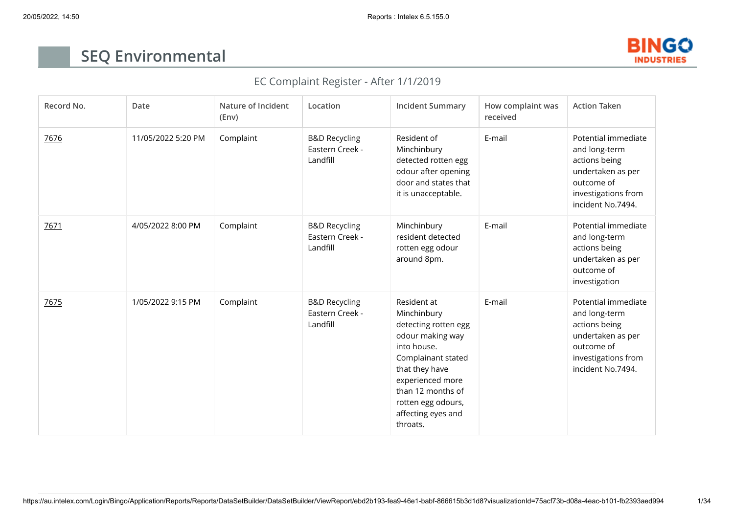

## **SEQ Environmental**

## EC Complaint Register - After 1/1/2019

| Record No. | Date               | Nature of Incident<br>(Env) | Location                                                | <b>Incident Summary</b>                                                                                                                                                                                                        | How complaint was<br>received | <b>Action Taken</b>                                                                                                                  |
|------------|--------------------|-----------------------------|---------------------------------------------------------|--------------------------------------------------------------------------------------------------------------------------------------------------------------------------------------------------------------------------------|-------------------------------|--------------------------------------------------------------------------------------------------------------------------------------|
| 7676       | 11/05/2022 5:20 PM | Complaint                   | <b>B&amp;D Recycling</b><br>Eastern Creek -<br>Landfill | Resident of<br>Minchinbury<br>detected rotten egg<br>odour after opening<br>door and states that<br>it is unacceptable.                                                                                                        | E-mail                        | Potential immediate<br>and long-term<br>actions being<br>undertaken as per<br>outcome of<br>investigations from<br>incident No.7494. |
| 7671       | 4/05/2022 8:00 PM  | Complaint                   | <b>B&amp;D Recycling</b><br>Eastern Creek -<br>Landfill | Minchinbury<br>resident detected<br>rotten egg odour<br>around 8pm.                                                                                                                                                            | E-mail                        | Potential immediate<br>and long-term<br>actions being<br>undertaken as per<br>outcome of<br>investigation                            |
| 7675       | 1/05/2022 9:15 PM  | Complaint                   | <b>B&amp;D Recycling</b><br>Eastern Creek -<br>Landfill | Resident at<br>Minchinbury<br>detecting rotten egg<br>odour making way<br>into house.<br>Complainant stated<br>that they have<br>experienced more<br>than 12 months of<br>rotten egg odours,<br>affecting eyes and<br>throats. | E-mail                        | Potential immediate<br>and long-term<br>actions being<br>undertaken as per<br>outcome of<br>investigations from<br>incident No.7494. |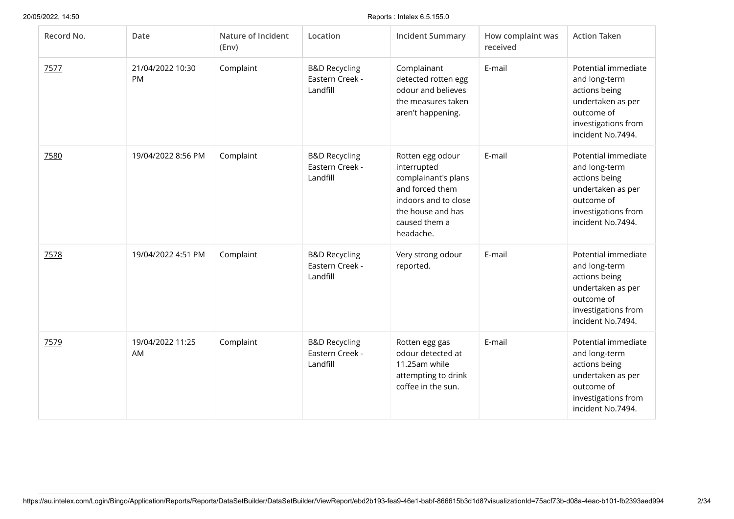| Record No. | Date                   | Nature of Incident<br>(Env) | Location                                                | <b>Incident Summary</b>                                                                                                                              | How complaint was<br>received | <b>Action Taken</b>                                                                                                                  |
|------------|------------------------|-----------------------------|---------------------------------------------------------|------------------------------------------------------------------------------------------------------------------------------------------------------|-------------------------------|--------------------------------------------------------------------------------------------------------------------------------------|
| 7577       | 21/04/2022 10:30<br>PM | Complaint                   | <b>B&amp;D Recycling</b><br>Eastern Creek -<br>Landfill | Complainant<br>detected rotten egg<br>odour and believes<br>the measures taken<br>aren't happening.                                                  | E-mail                        | Potential immediate<br>and long-term<br>actions being<br>undertaken as per<br>outcome of<br>investigations from<br>incident No.7494. |
| 7580       | 19/04/2022 8:56 PM     | Complaint                   | <b>B&amp;D Recycling</b><br>Eastern Creek -<br>Landfill | Rotten egg odour<br>interrupted<br>complainant's plans<br>and forced them<br>indoors and to close<br>the house and has<br>caused them a<br>headache. | E-mail                        | Potential immediate<br>and long-term<br>actions being<br>undertaken as per<br>outcome of<br>investigations from<br>incident No.7494. |
| 7578       | 19/04/2022 4:51 PM     | Complaint                   | <b>B&amp;D Recycling</b><br>Eastern Creek -<br>Landfill | Very strong odour<br>reported.                                                                                                                       | E-mail                        | Potential immediate<br>and long-term<br>actions being<br>undertaken as per<br>outcome of<br>investigations from<br>incident No.7494. |
| 7579       | 19/04/2022 11:25<br>AM | Complaint                   | <b>B&amp;D Recycling</b><br>Eastern Creek -<br>Landfill | Rotten egg gas<br>odour detected at<br>11.25am while<br>attempting to drink<br>coffee in the sun.                                                    | E-mail                        | Potential immediate<br>and long-term<br>actions being<br>undertaken as per<br>outcome of<br>investigations from<br>incident No.7494. |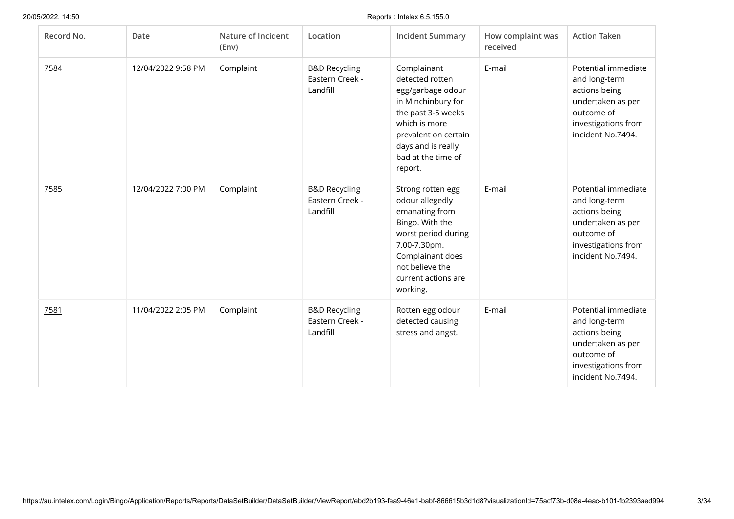| Record No. | Date               | Nature of Incident<br>(Env) | Location                                                | <b>Incident Summary</b>                                                                                                                                                                         | How complaint was<br>received | <b>Action Taken</b>                                                                                                                  |
|------------|--------------------|-----------------------------|---------------------------------------------------------|-------------------------------------------------------------------------------------------------------------------------------------------------------------------------------------------------|-------------------------------|--------------------------------------------------------------------------------------------------------------------------------------|
| 7584       | 12/04/2022 9:58 PM | Complaint                   | <b>B&amp;D Recycling</b><br>Eastern Creek -<br>Landfill | Complainant<br>detected rotten<br>egg/garbage odour<br>in Minchinbury for<br>the past 3-5 weeks<br>which is more<br>prevalent on certain<br>days and is really<br>bad at the time of<br>report. | E-mail                        | Potential immediate<br>and long-term<br>actions being<br>undertaken as per<br>outcome of<br>investigations from<br>incident No.7494. |
| 7585       | 12/04/2022 7:00 PM | Complaint                   | <b>B&amp;D Recycling</b><br>Eastern Creek -<br>Landfill | Strong rotten egg<br>odour allegedly<br>emanating from<br>Bingo. With the<br>worst period during<br>7.00-7.30pm.<br>Complainant does<br>not believe the<br>current actions are<br>working.      | E-mail                        | Potential immediate<br>and long-term<br>actions being<br>undertaken as per<br>outcome of<br>investigations from<br>incident No.7494. |
| 7581       | 11/04/2022 2:05 PM | Complaint                   | <b>B&amp;D Recycling</b><br>Eastern Creek -<br>Landfill | Rotten egg odour<br>detected causing<br>stress and angst.                                                                                                                                       | E-mail                        | Potential immediate<br>and long-term<br>actions being<br>undertaken as per<br>outcome of<br>investigations from<br>incident No.7494. |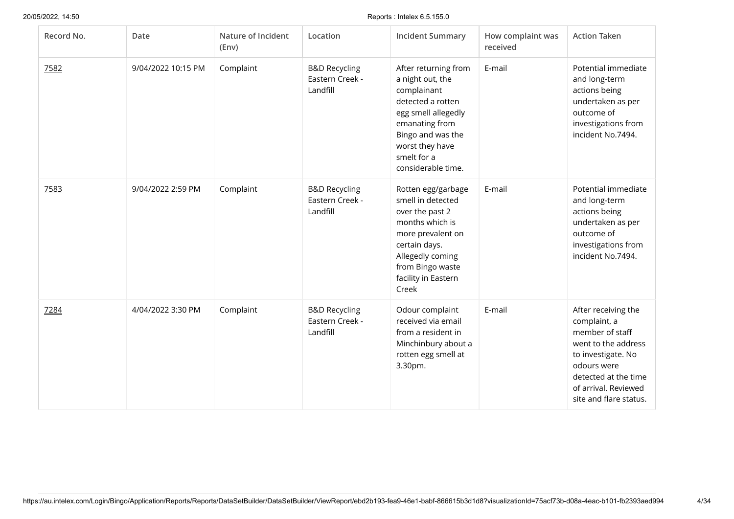| Record No. | Date               | Nature of Incident<br>(Env) | Location                                                | <b>Incident Summary</b>                                                                                                                                                                            | How complaint was<br>received | <b>Action Taken</b>                                                                                                                                                                          |
|------------|--------------------|-----------------------------|---------------------------------------------------------|----------------------------------------------------------------------------------------------------------------------------------------------------------------------------------------------------|-------------------------------|----------------------------------------------------------------------------------------------------------------------------------------------------------------------------------------------|
| 7582       | 9/04/2022 10:15 PM | Complaint                   | <b>B&amp;D Recycling</b><br>Eastern Creek -<br>Landfill | After returning from<br>a night out, the<br>complainant<br>detected a rotten<br>egg smell allegedly<br>emanating from<br>Bingo and was the<br>worst they have<br>smelt for a<br>considerable time. | E-mail                        | Potential immediate<br>and long-term<br>actions being<br>undertaken as per<br>outcome of<br>investigations from<br>incident No.7494.                                                         |
| 7583       | 9/04/2022 2:59 PM  | Complaint                   | <b>B&amp;D Recycling</b><br>Eastern Creek -<br>Landfill | Rotten egg/garbage<br>smell in detected<br>over the past 2<br>months which is<br>more prevalent on<br>certain days.<br>Allegedly coming<br>from Bingo waste<br>facility in Eastern<br>Creek        | E-mail                        | Potential immediate<br>and long-term<br>actions being<br>undertaken as per<br>outcome of<br>investigations from<br>incident No.7494.                                                         |
| 7284       | 4/04/2022 3:30 PM  | Complaint                   | <b>B&amp;D Recycling</b><br>Eastern Creek -<br>Landfill | Odour complaint<br>received via email<br>from a resident in<br>Minchinbury about a<br>rotten egg smell at<br>3.30pm.                                                                               | E-mail                        | After receiving the<br>complaint, a<br>member of staff<br>went to the address<br>to investigate. No<br>odours were<br>detected at the time<br>of arrival. Reviewed<br>site and flare status. |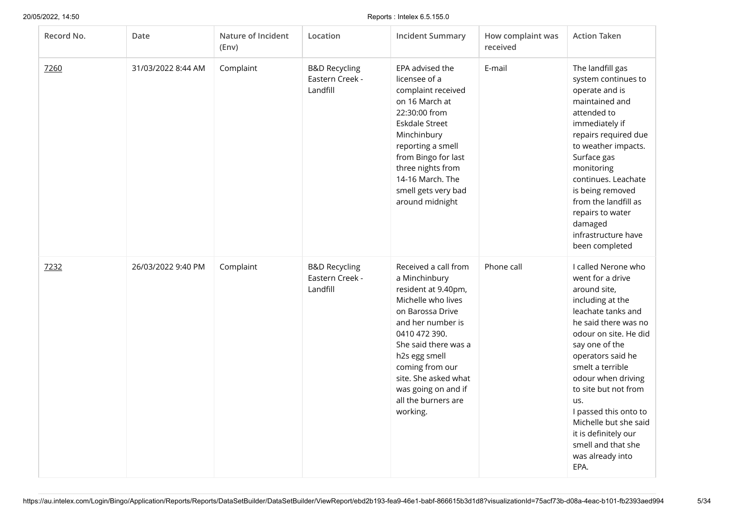| Record No. | Date               | Nature of Incident<br>(Env) | Location                                                | <b>Incident Summary</b>                                                                                                                                                                                                                                                                    | How complaint was<br>received | <b>Action Taken</b>                                                                                                                                                                                                                                                                                                                                                                            |
|------------|--------------------|-----------------------------|---------------------------------------------------------|--------------------------------------------------------------------------------------------------------------------------------------------------------------------------------------------------------------------------------------------------------------------------------------------|-------------------------------|------------------------------------------------------------------------------------------------------------------------------------------------------------------------------------------------------------------------------------------------------------------------------------------------------------------------------------------------------------------------------------------------|
| 7260       | 31/03/2022 8:44 AM | Complaint                   | <b>B&amp;D Recycling</b><br>Eastern Creek -<br>Landfill | EPA advised the<br>licensee of a<br>complaint received<br>on 16 March at<br>22:30:00 from<br>Eskdale Street<br>Minchinbury<br>reporting a smell<br>from Bingo for last<br>three nights from<br>14-16 March. The<br>smell gets very bad<br>around midnight                                  | E-mail                        | The landfill gas<br>system continues to<br>operate and is<br>maintained and<br>attended to<br>immediately if<br>repairs required due<br>to weather impacts.<br>Surface gas<br>monitoring<br>continues. Leachate<br>is being removed<br>from the landfill as<br>repairs to water<br>damaged<br>infrastructure have<br>been completed                                                            |
| 7232       | 26/03/2022 9:40 PM | Complaint                   | <b>B&amp;D Recycling</b><br>Eastern Creek -<br>Landfill | Received a call from<br>a Minchinbury<br>resident at 9.40pm,<br>Michelle who lives<br>on Barossa Drive<br>and her number is<br>0410 472 390.<br>She said there was a<br>h2s egg smell<br>coming from our<br>site. She asked what<br>was going on and if<br>all the burners are<br>working. | Phone call                    | I called Nerone who<br>went for a drive<br>around site,<br>including at the<br>leachate tanks and<br>he said there was no<br>odour on site. He did<br>say one of the<br>operators said he<br>smelt a terrible<br>odour when driving<br>to site but not from<br>us.<br>I passed this onto to<br>Michelle but she said<br>it is definitely our<br>smell and that she<br>was already into<br>EPA. |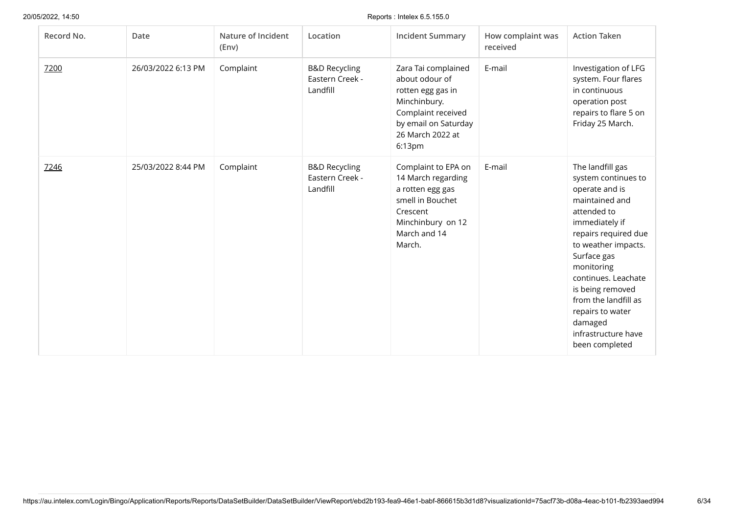| Record No. | Date               | Nature of Incident<br>(Env) | Location                                                | <b>Incident Summary</b>                                                                                                                                | How complaint was<br>received | <b>Action Taken</b>                                                                                                                                                                                                                                                                                                                 |
|------------|--------------------|-----------------------------|---------------------------------------------------------|--------------------------------------------------------------------------------------------------------------------------------------------------------|-------------------------------|-------------------------------------------------------------------------------------------------------------------------------------------------------------------------------------------------------------------------------------------------------------------------------------------------------------------------------------|
| 7200       | 26/03/2022 6:13 PM | Complaint                   | <b>B&amp;D Recycling</b><br>Eastern Creek -<br>Landfill | Zara Tai complained<br>about odour of<br>rotten egg gas in<br>Minchinbury.<br>Complaint received<br>by email on Saturday<br>26 March 2022 at<br>6:13pm | E-mail                        | Investigation of LFG<br>system. Four flares<br>in continuous<br>operation post<br>repairs to flare 5 on<br>Friday 25 March.                                                                                                                                                                                                         |
| 7246       | 25/03/2022 8:44 PM | Complaint                   | <b>B&amp;D Recycling</b><br>Eastern Creek -<br>Landfill | Complaint to EPA on<br>14 March regarding<br>a rotten egg gas<br>smell in Bouchet<br>Crescent<br>Minchinbury on 12<br>March and 14<br>March.           | E-mail                        | The landfill gas<br>system continues to<br>operate and is<br>maintained and<br>attended to<br>immediately if<br>repairs required due<br>to weather impacts.<br>Surface gas<br>monitoring<br>continues. Leachate<br>is being removed<br>from the landfill as<br>repairs to water<br>damaged<br>infrastructure have<br>been completed |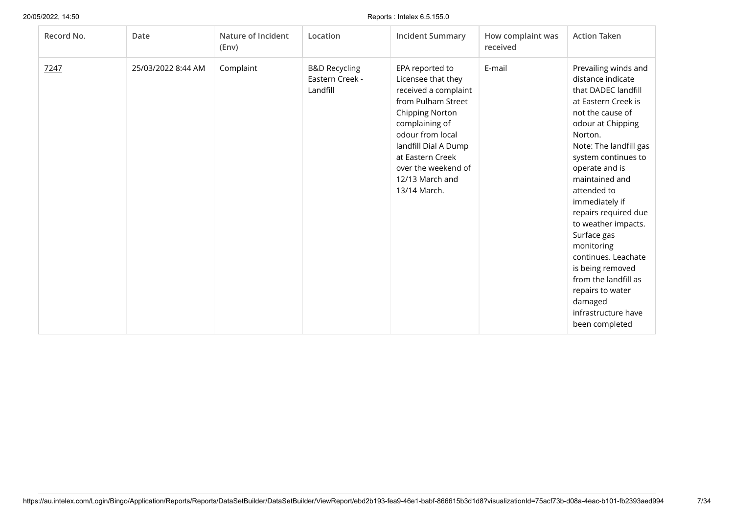| Record No. | Date               | Nature of Incident<br>(Env) | Location                                                | <b>Incident Summary</b>                                                                                                                                                                                                                                   | How complaint was<br>received | <b>Action Taken</b>                                                                                                                                                                                                                                                                                                                                                                                                                                                                      |
|------------|--------------------|-----------------------------|---------------------------------------------------------|-----------------------------------------------------------------------------------------------------------------------------------------------------------------------------------------------------------------------------------------------------------|-------------------------------|------------------------------------------------------------------------------------------------------------------------------------------------------------------------------------------------------------------------------------------------------------------------------------------------------------------------------------------------------------------------------------------------------------------------------------------------------------------------------------------|
| 7247       | 25/03/2022 8:44 AM | Complaint                   | <b>B&amp;D Recycling</b><br>Eastern Creek -<br>Landfill | EPA reported to<br>Licensee that they<br>received a complaint<br>from Pulham Street<br><b>Chipping Norton</b><br>complaining of<br>odour from local<br>landfill Dial A Dump<br>at Eastern Creek<br>over the weekend of<br>12/13 March and<br>13/14 March. | E-mail                        | Prevailing winds and<br>distance indicate<br>that DADEC landfill<br>at Eastern Creek is<br>not the cause of<br>odour at Chipping<br>Norton.<br>Note: The landfill gas<br>system continues to<br>operate and is<br>maintained and<br>attended to<br>immediately if<br>repairs required due<br>to weather impacts.<br>Surface gas<br>monitoring<br>continues. Leachate<br>is being removed<br>from the landfill as<br>repairs to water<br>damaged<br>infrastructure have<br>been completed |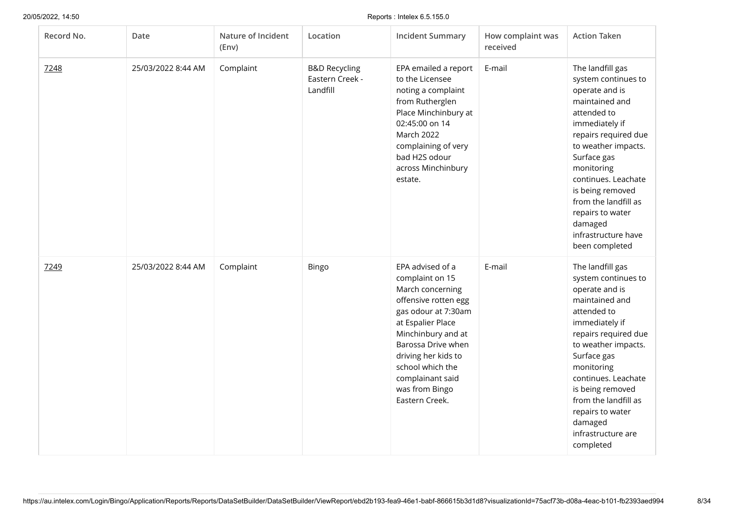| Record No. | Date               | Nature of Incident<br>(Env) | Location                                                | <b>Incident Summary</b>                                                                                                                                                                                                                                                    | How complaint was<br>received | <b>Action Taken</b>                                                                                                                                                                                                                                                                                                                 |
|------------|--------------------|-----------------------------|---------------------------------------------------------|----------------------------------------------------------------------------------------------------------------------------------------------------------------------------------------------------------------------------------------------------------------------------|-------------------------------|-------------------------------------------------------------------------------------------------------------------------------------------------------------------------------------------------------------------------------------------------------------------------------------------------------------------------------------|
| 7248       | 25/03/2022 8:44 AM | Complaint                   | <b>B&amp;D Recycling</b><br>Eastern Creek -<br>Landfill | EPA emailed a report<br>to the Licensee<br>noting a complaint<br>from Rutherglen<br>Place Minchinbury at<br>02:45:00 on 14<br>March 2022<br>complaining of very<br>bad H2S odour<br>across Minchinbury<br>estate.                                                          | E-mail                        | The landfill gas<br>system continues to<br>operate and is<br>maintained and<br>attended to<br>immediately if<br>repairs required due<br>to weather impacts.<br>Surface gas<br>monitoring<br>continues. Leachate<br>is being removed<br>from the landfill as<br>repairs to water<br>damaged<br>infrastructure have<br>been completed |
| 7249       | 25/03/2022 8:44 AM | Complaint                   | Bingo                                                   | EPA advised of a<br>complaint on 15<br>March concerning<br>offensive rotten egg<br>gas odour at 7:30am<br>at Espalier Place<br>Minchinbury and at<br>Barossa Drive when<br>driving her kids to<br>school which the<br>complainant said<br>was from Bingo<br>Eastern Creek. | E-mail                        | The landfill gas<br>system continues to<br>operate and is<br>maintained and<br>attended to<br>immediately if<br>repairs required due<br>to weather impacts.<br>Surface gas<br>monitoring<br>continues. Leachate<br>is being removed<br>from the landfill as<br>repairs to water<br>damaged<br>infrastructure are<br>completed       |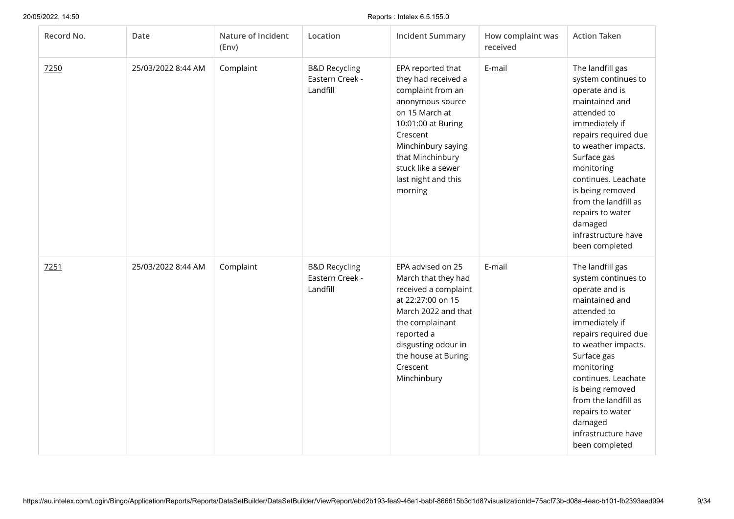| Record No. | Date               | Nature of Incident<br>(Env) | Location                                                | <b>Incident Summary</b>                                                                                                                                                                                                                 | How complaint was<br>received | <b>Action Taken</b>                                                                                                                                                                                                                                                                                                                 |
|------------|--------------------|-----------------------------|---------------------------------------------------------|-----------------------------------------------------------------------------------------------------------------------------------------------------------------------------------------------------------------------------------------|-------------------------------|-------------------------------------------------------------------------------------------------------------------------------------------------------------------------------------------------------------------------------------------------------------------------------------------------------------------------------------|
| 7250       | 25/03/2022 8:44 AM | Complaint                   | <b>B&amp;D Recycling</b><br>Eastern Creek -<br>Landfill | EPA reported that<br>they had received a<br>complaint from an<br>anonymous source<br>on 15 March at<br>10:01:00 at Buring<br>Crescent<br>Minchinbury saying<br>that Minchinbury<br>stuck like a sewer<br>last night and this<br>morning | E-mail                        | The landfill gas<br>system continues to<br>operate and is<br>maintained and<br>attended to<br>immediately if<br>repairs required due<br>to weather impacts.<br>Surface gas<br>monitoring<br>continues. Leachate<br>is being removed<br>from the landfill as<br>repairs to water<br>damaged<br>infrastructure have<br>been completed |
| 7251       | 25/03/2022 8:44 AM | Complaint                   | <b>B&amp;D Recycling</b><br>Eastern Creek -<br>Landfill | EPA advised on 25<br>March that they had<br>received a complaint<br>at 22:27:00 on 15<br>March 2022 and that<br>the complainant<br>reported a<br>disgusting odour in<br>the house at Buring<br>Crescent<br>Minchinbury                  | E-mail                        | The landfill gas<br>system continues to<br>operate and is<br>maintained and<br>attended to<br>immediately if<br>repairs required due<br>to weather impacts.<br>Surface gas<br>monitoring<br>continues. Leachate<br>is being removed<br>from the landfill as<br>repairs to water<br>damaged<br>infrastructure have<br>been completed |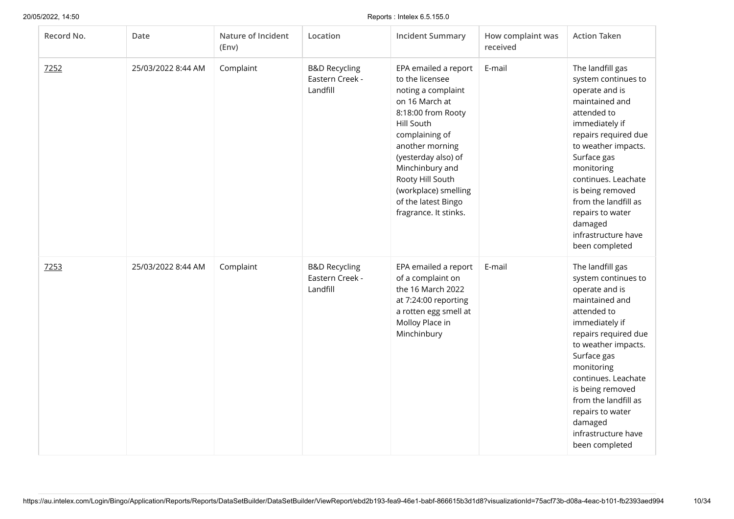| Record No. | Date               | Nature of Incident<br>(Env) | Location                                                | <b>Incident Summary</b>                                                                                                                                                                                                                                                                        | How complaint was<br>received | <b>Action Taken</b>                                                                                                                                                                                                                                                                                                                 |
|------------|--------------------|-----------------------------|---------------------------------------------------------|------------------------------------------------------------------------------------------------------------------------------------------------------------------------------------------------------------------------------------------------------------------------------------------------|-------------------------------|-------------------------------------------------------------------------------------------------------------------------------------------------------------------------------------------------------------------------------------------------------------------------------------------------------------------------------------|
| 7252       | 25/03/2022 8:44 AM | Complaint                   | <b>B&amp;D Recycling</b><br>Eastern Creek -<br>Landfill | EPA emailed a report<br>to the licensee<br>noting a complaint<br>on 16 March at<br>8:18:00 from Rooty<br>Hill South<br>complaining of<br>another morning<br>(yesterday also) of<br>Minchinbury and<br>Rooty Hill South<br>(workplace) smelling<br>of the latest Bingo<br>fragrance. It stinks. | E-mail                        | The landfill gas<br>system continues to<br>operate and is<br>maintained and<br>attended to<br>immediately if<br>repairs required due<br>to weather impacts.<br>Surface gas<br>monitoring<br>continues. Leachate<br>is being removed<br>from the landfill as<br>repairs to water<br>damaged<br>infrastructure have<br>been completed |
| 7253       | 25/03/2022 8:44 AM | Complaint                   | <b>B&amp;D Recycling</b><br>Eastern Creek -<br>Landfill | EPA emailed a report<br>of a complaint on<br>the 16 March 2022<br>at 7:24:00 reporting<br>a rotten egg smell at<br>Molloy Place in<br>Minchinbury                                                                                                                                              | E-mail                        | The landfill gas<br>system continues to<br>operate and is<br>maintained and<br>attended to<br>immediately if<br>repairs required due<br>to weather impacts.<br>Surface gas<br>monitoring<br>continues. Leachate<br>is being removed<br>from the landfill as<br>repairs to water<br>damaged<br>infrastructure have<br>been completed |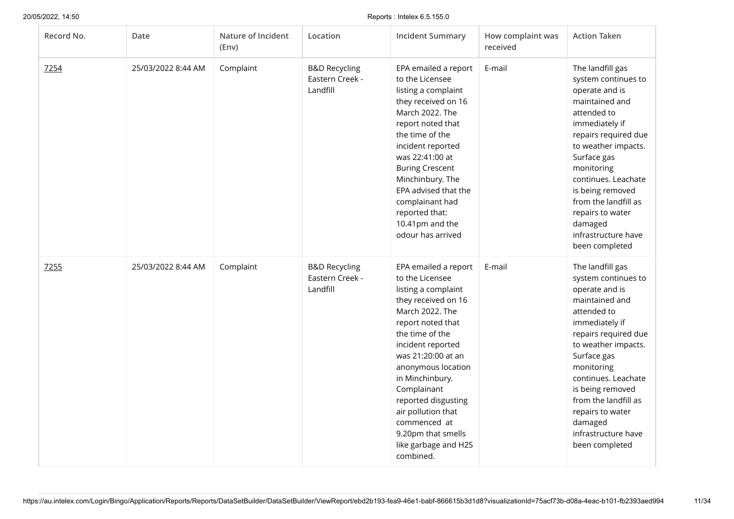| Record No. | Date               | Nature of Incident<br>(Env) | Location                                                | <b>Incident Summary</b>                                                                                                                                                                                                                                                                                                                                                     | How complaint was<br>received | <b>Action Taken</b>                                                                                                                                                                                                                                                                                                                 |
|------------|--------------------|-----------------------------|---------------------------------------------------------|-----------------------------------------------------------------------------------------------------------------------------------------------------------------------------------------------------------------------------------------------------------------------------------------------------------------------------------------------------------------------------|-------------------------------|-------------------------------------------------------------------------------------------------------------------------------------------------------------------------------------------------------------------------------------------------------------------------------------------------------------------------------------|
| 7254       | 25/03/2022 8:44 AM | Complaint                   | <b>B&amp;D Recycling</b><br>Eastern Creek -<br>Landfill | EPA emailed a report<br>to the Licensee<br>listing a complaint<br>they received on 16<br>March 2022. The<br>report noted that<br>the time of the<br>incident reported<br>was 22:41:00 at<br><b>Buring Crescent</b><br>Minchinbury. The<br>EPA advised that the<br>complainant had<br>reported that:<br>10.41pm and the<br>odour has arrived                                 | E-mail                        | The landfill gas<br>system continues to<br>operate and is<br>maintained and<br>attended to<br>immediately if<br>repairs required due<br>to weather impacts.<br>Surface gas<br>monitoring<br>continues. Leachate<br>is being removed<br>from the landfill as<br>repairs to water<br>damaged<br>infrastructure have<br>been completed |
| 7255       | 25/03/2022 8:44 AM | Complaint                   | <b>B&amp;D Recycling</b><br>Eastern Creek -<br>Landfill | EPA emailed a report<br>to the Licensee<br>listing a complaint<br>they received on 16<br>March 2022. The<br>report noted that<br>the time of the<br>incident reported<br>was 21:20:00 at an<br>anonymous location<br>in Minchinbury.<br>Complainant<br>reported disgusting<br>air pollution that<br>commenced at<br>9.20pm that smells<br>like garbage and H2S<br>combined. | E-mail                        | The landfill gas<br>system continues to<br>operate and is<br>maintained and<br>attended to<br>immediately if<br>repairs required due<br>to weather impacts.<br>Surface gas<br>monitoring<br>continues. Leachate<br>is being removed<br>from the landfill as<br>repairs to water<br>damaged<br>infrastructure have<br>been completed |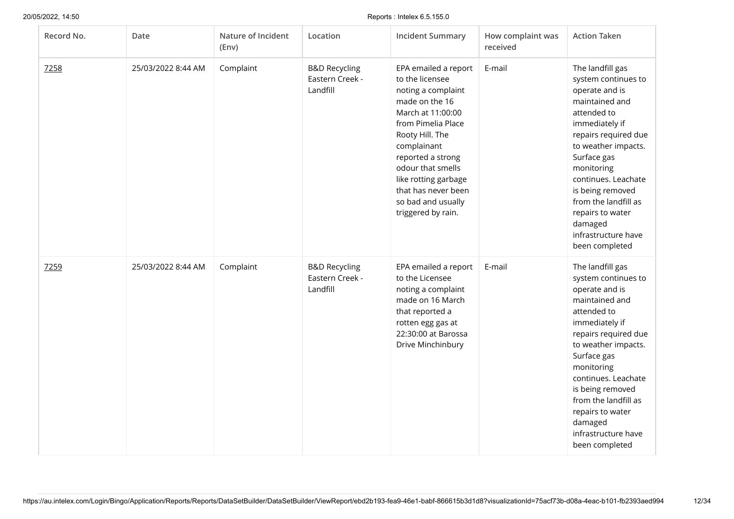| Record No. | Date               | Nature of Incident<br>(Env) | Location                                                | <b>Incident Summary</b>                                                                                                                                                                                                                                                                           | How complaint was<br>received | <b>Action Taken</b>                                                                                                                                                                                                                                                                                                                 |
|------------|--------------------|-----------------------------|---------------------------------------------------------|---------------------------------------------------------------------------------------------------------------------------------------------------------------------------------------------------------------------------------------------------------------------------------------------------|-------------------------------|-------------------------------------------------------------------------------------------------------------------------------------------------------------------------------------------------------------------------------------------------------------------------------------------------------------------------------------|
| 7258       | 25/03/2022 8:44 AM | Complaint                   | <b>B&amp;D Recycling</b><br>Eastern Creek -<br>Landfill | EPA emailed a report<br>to the licensee<br>noting a complaint<br>made on the 16<br>March at 11:00:00<br>from Pimelia Place<br>Rooty Hill. The<br>complainant<br>reported a strong<br>odour that smells<br>like rotting garbage<br>that has never been<br>so bad and usually<br>triggered by rain. | E-mail                        | The landfill gas<br>system continues to<br>operate and is<br>maintained and<br>attended to<br>immediately if<br>repairs required due<br>to weather impacts.<br>Surface gas<br>monitoring<br>continues. Leachate<br>is being removed<br>from the landfill as<br>repairs to water<br>damaged<br>infrastructure have<br>been completed |
| 7259       | 25/03/2022 8:44 AM | Complaint                   | <b>B&amp;D Recycling</b><br>Eastern Creek -<br>Landfill | EPA emailed a report<br>to the Licensee<br>noting a complaint<br>made on 16 March<br>that reported a<br>rotten egg gas at<br>22:30:00 at Barossa<br>Drive Minchinbury                                                                                                                             | E-mail                        | The landfill gas<br>system continues to<br>operate and is<br>maintained and<br>attended to<br>immediately if<br>repairs required due<br>to weather impacts.<br>Surface gas<br>monitoring<br>continues. Leachate<br>is being removed<br>from the landfill as<br>repairs to water<br>damaged<br>infrastructure have<br>been completed |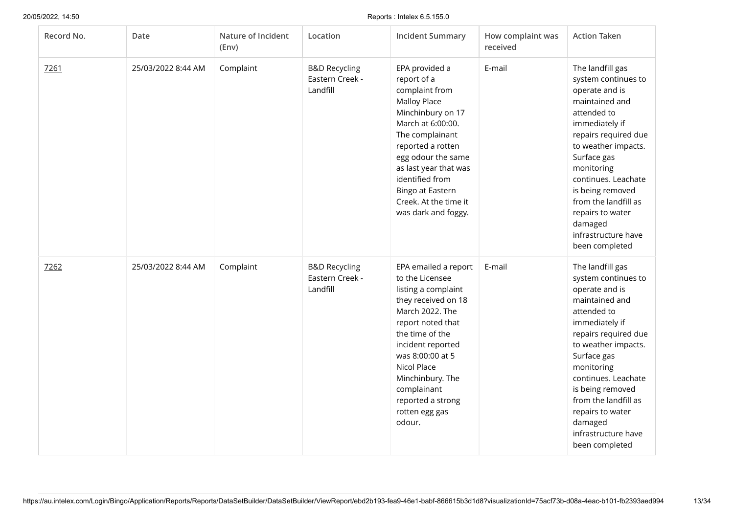| Record No. | Date               | Nature of Incident<br>(Env) | Location                                                | <b>Incident Summary</b>                                                                                                                                                                                                                                                                        | How complaint was<br>received | <b>Action Taken</b>                                                                                                                                                                                                                                                                                                                 |
|------------|--------------------|-----------------------------|---------------------------------------------------------|------------------------------------------------------------------------------------------------------------------------------------------------------------------------------------------------------------------------------------------------------------------------------------------------|-------------------------------|-------------------------------------------------------------------------------------------------------------------------------------------------------------------------------------------------------------------------------------------------------------------------------------------------------------------------------------|
| 7261       | 25/03/2022 8:44 AM | Complaint                   | <b>B&amp;D Recycling</b><br>Eastern Creek -<br>Landfill | EPA provided a<br>report of a<br>complaint from<br><b>Malloy Place</b><br>Minchinbury on 17<br>March at 6:00:00.<br>The complainant<br>reported a rotten<br>egg odour the same<br>as last year that was<br>identified from<br>Bingo at Eastern<br>Creek. At the time it<br>was dark and foggy. | E-mail                        | The landfill gas<br>system continues to<br>operate and is<br>maintained and<br>attended to<br>immediately if<br>repairs required due<br>to weather impacts.<br>Surface gas<br>monitoring<br>continues. Leachate<br>is being removed<br>from the landfill as<br>repairs to water<br>damaged<br>infrastructure have<br>been completed |
| 7262       | 25/03/2022 8:44 AM | Complaint                   | <b>B&amp;D Recycling</b><br>Eastern Creek -<br>Landfill | EPA emailed a report<br>to the Licensee<br>listing a complaint<br>they received on 18<br>March 2022. The<br>report noted that<br>the time of the<br>incident reported<br>was 8:00:00 at 5<br>Nicol Place<br>Minchinbury. The<br>complainant<br>reported a strong<br>rotten egg gas<br>odour.   | E-mail                        | The landfill gas<br>system continues to<br>operate and is<br>maintained and<br>attended to<br>immediately if<br>repairs required due<br>to weather impacts.<br>Surface gas<br>monitoring<br>continues. Leachate<br>is being removed<br>from the landfill as<br>repairs to water<br>damaged<br>infrastructure have<br>been completed |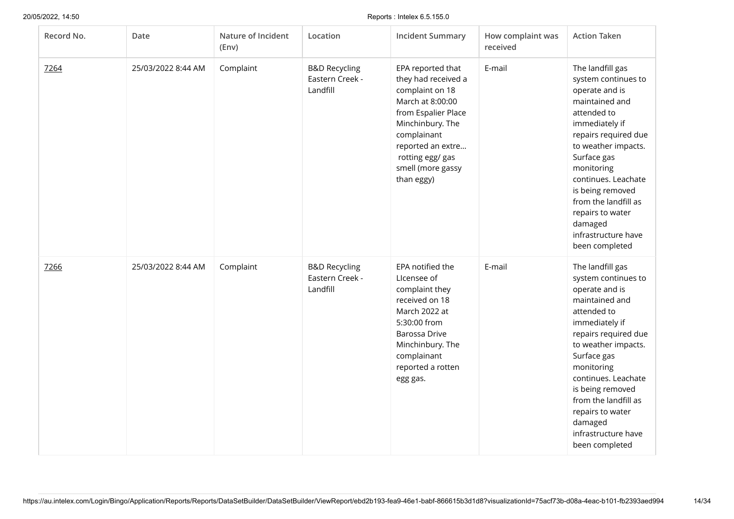| Record No. | Date               | Nature of Incident<br>(Env) | Location                                                | <b>Incident Summary</b>                                                                                                                                                                                               | How complaint was<br>received | <b>Action Taken</b>                                                                                                                                                                                                                                                                                                                 |
|------------|--------------------|-----------------------------|---------------------------------------------------------|-----------------------------------------------------------------------------------------------------------------------------------------------------------------------------------------------------------------------|-------------------------------|-------------------------------------------------------------------------------------------------------------------------------------------------------------------------------------------------------------------------------------------------------------------------------------------------------------------------------------|
| 7264       | 25/03/2022 8:44 AM | Complaint                   | <b>B&amp;D Recycling</b><br>Eastern Creek -<br>Landfill | EPA reported that<br>they had received a<br>complaint on 18<br>March at 8:00:00<br>from Espalier Place<br>Minchinbury. The<br>complainant<br>reported an extre<br>rotting egg/ gas<br>smell (more gassy<br>than eggy) | E-mail                        | The landfill gas<br>system continues to<br>operate and is<br>maintained and<br>attended to<br>immediately if<br>repairs required due<br>to weather impacts.<br>Surface gas<br>monitoring<br>continues. Leachate<br>is being removed<br>from the landfill as<br>repairs to water<br>damaged<br>infrastructure have<br>been completed |
| 7266       | 25/03/2022 8:44 AM | Complaint                   | <b>B&amp;D Recycling</b><br>Eastern Creek -<br>Landfill | EPA notified the<br>Licensee of<br>complaint they<br>received on 18<br>March 2022 at<br>5:30:00 from<br>Barossa Drive<br>Minchinbury. The<br>complainant<br>reported a rotten<br>egg gas.                             | E-mail                        | The landfill gas<br>system continues to<br>operate and is<br>maintained and<br>attended to<br>immediately if<br>repairs required due<br>to weather impacts.<br>Surface gas<br>monitoring<br>continues. Leachate<br>is being removed<br>from the landfill as<br>repairs to water<br>damaged<br>infrastructure have<br>been completed |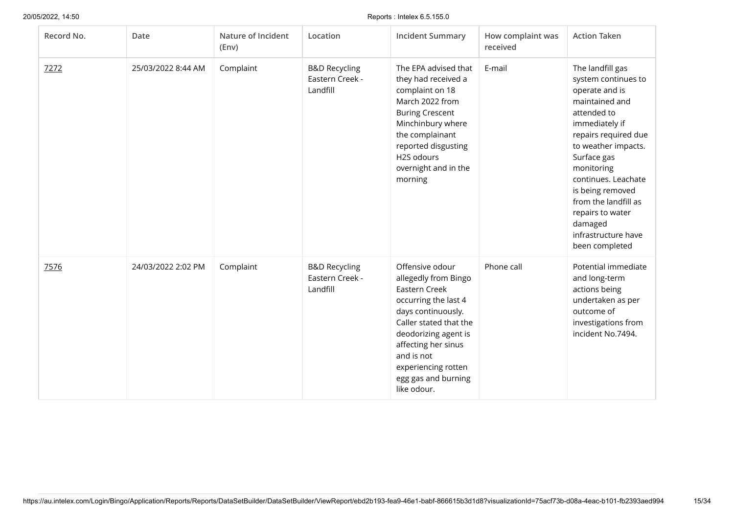| Record No. | Date               | Nature of Incident<br>(Env) | Location                                                | <b>Incident Summary</b>                                                                                                                                                                                                                                    | How complaint was<br>received | <b>Action Taken</b>                                                                                                                                                                                                                                                                                                                 |
|------------|--------------------|-----------------------------|---------------------------------------------------------|------------------------------------------------------------------------------------------------------------------------------------------------------------------------------------------------------------------------------------------------------------|-------------------------------|-------------------------------------------------------------------------------------------------------------------------------------------------------------------------------------------------------------------------------------------------------------------------------------------------------------------------------------|
| 7272       | 25/03/2022 8:44 AM | Complaint                   | <b>B&amp;D Recycling</b><br>Eastern Creek -<br>Landfill | The EPA advised that<br>they had received a<br>complaint on 18<br>March 2022 from<br><b>Buring Crescent</b><br>Minchinbury where<br>the complainant<br>reported disgusting<br>H2S odours<br>overnight and in the<br>morning                                | E-mail                        | The landfill gas<br>system continues to<br>operate and is<br>maintained and<br>attended to<br>immediately if<br>repairs required due<br>to weather impacts.<br>Surface gas<br>monitoring<br>continues. Leachate<br>is being removed<br>from the landfill as<br>repairs to water<br>damaged<br>infrastructure have<br>been completed |
| 7576       | 24/03/2022 2:02 PM | Complaint                   | <b>B&amp;D Recycling</b><br>Eastern Creek -<br>Landfill | Offensive odour<br>allegedly from Bingo<br>Eastern Creek<br>occurring the last 4<br>days continuously.<br>Caller stated that the<br>deodorizing agent is<br>affecting her sinus<br>and is not<br>experiencing rotten<br>egg gas and burning<br>like odour. | Phone call                    | Potential immediate<br>and long-term<br>actions being<br>undertaken as per<br>outcome of<br>investigations from<br>incident No.7494.                                                                                                                                                                                                |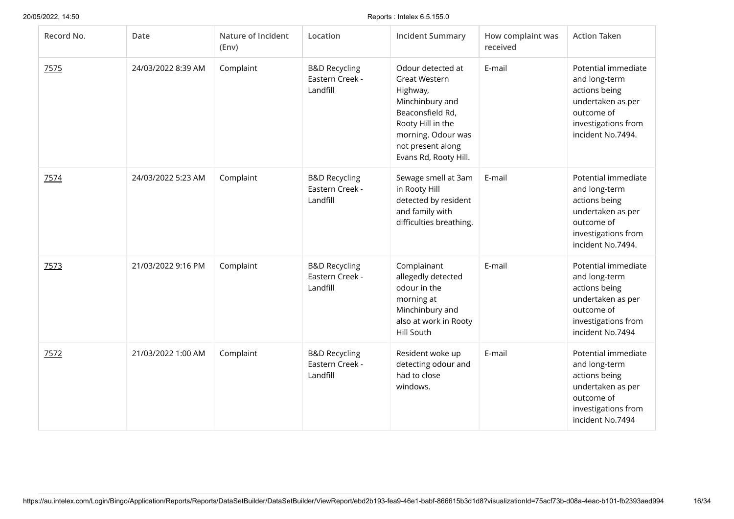| Record No. | Date               | Nature of Incident<br>(Env) | Location                                                | <b>Incident Summary</b>                                                                                                                                                               | How complaint was<br>received | <b>Action Taken</b>                                                                                                                  |
|------------|--------------------|-----------------------------|---------------------------------------------------------|---------------------------------------------------------------------------------------------------------------------------------------------------------------------------------------|-------------------------------|--------------------------------------------------------------------------------------------------------------------------------------|
| 7575       | 24/03/2022 8:39 AM | Complaint                   | <b>B&amp;D Recycling</b><br>Eastern Creek -<br>Landfill | Odour detected at<br><b>Great Western</b><br>Highway,<br>Minchinbury and<br>Beaconsfield Rd,<br>Rooty Hill in the<br>morning. Odour was<br>not present along<br>Evans Rd, Rooty Hill. | E-mail                        | Potential immediate<br>and long-term<br>actions being<br>undertaken as per<br>outcome of<br>investigations from<br>incident No.7494. |
| 7574       | 24/03/2022 5:23 AM | Complaint                   | <b>B&amp;D Recycling</b><br>Eastern Creek -<br>Landfill | Sewage smell at 3am<br>in Rooty Hill<br>detected by resident<br>and family with<br>difficulties breathing.                                                                            | E-mail                        | Potential immediate<br>and long-term<br>actions being<br>undertaken as per<br>outcome of<br>investigations from<br>incident No.7494. |
| 7573       | 21/03/2022 9:16 PM | Complaint                   | <b>B&amp;D Recycling</b><br>Eastern Creek -<br>Landfill | Complainant<br>allegedly detected<br>odour in the<br>morning at<br>Minchinbury and<br>also at work in Rooty<br>Hill South                                                             | E-mail                        | Potential immediate<br>and long-term<br>actions being<br>undertaken as per<br>outcome of<br>investigations from<br>incident No.7494  |
| 7572       | 21/03/2022 1:00 AM | Complaint                   | <b>B&amp;D Recycling</b><br>Eastern Creek -<br>Landfill | Resident woke up<br>detecting odour and<br>had to close<br>windows.                                                                                                                   | E-mail                        | Potential immediate<br>and long-term<br>actions being<br>undertaken as per<br>outcome of<br>investigations from<br>incident No.7494  |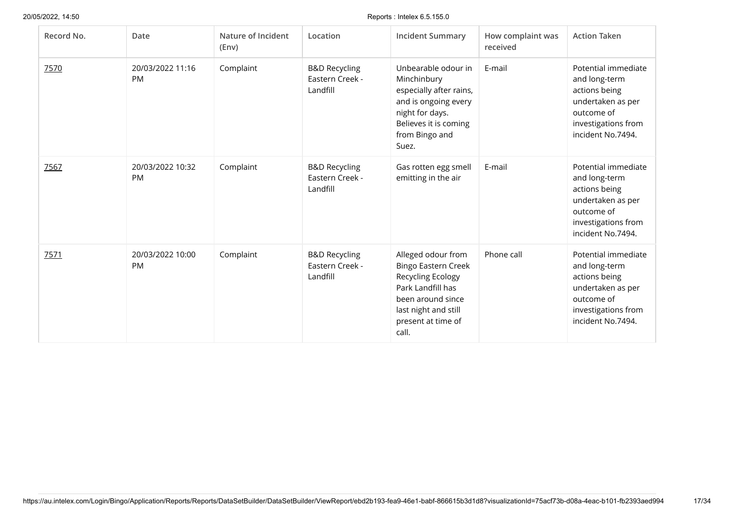| Record No. | Date                          | Nature of Incident<br>(Env) | Location                                                | <b>Incident Summary</b>                                                                                                                                                | How complaint was<br>received | <b>Action Taken</b>                                                                                                                  |
|------------|-------------------------------|-----------------------------|---------------------------------------------------------|------------------------------------------------------------------------------------------------------------------------------------------------------------------------|-------------------------------|--------------------------------------------------------------------------------------------------------------------------------------|
| 7570       | 20/03/2022 11:16<br><b>PM</b> | Complaint                   | <b>B&amp;D Recycling</b><br>Eastern Creek -<br>Landfill | Unbearable odour in<br>Minchinbury<br>especially after rains,<br>and is ongoing every<br>night for days.<br>Believes it is coming<br>from Bingo and<br>Suez.           | E-mail                        | Potential immediate<br>and long-term<br>actions being<br>undertaken as per<br>outcome of<br>investigations from<br>incident No.7494. |
| 7567       | 20/03/2022 10:32<br><b>PM</b> | Complaint                   | <b>B&amp;D Recycling</b><br>Eastern Creek -<br>Landfill | Gas rotten egg smell<br>emitting in the air                                                                                                                            | E-mail                        | Potential immediate<br>and long-term<br>actions being<br>undertaken as per<br>outcome of<br>investigations from<br>incident No.7494. |
| 7571       | 20/03/2022 10:00<br><b>PM</b> | Complaint                   | <b>B&amp;D Recycling</b><br>Eastern Creek -<br>Landfill | Alleged odour from<br><b>Bingo Eastern Creek</b><br>Recycling Ecology<br>Park Landfill has<br>been around since<br>last night and still<br>present at time of<br>call. | Phone call                    | Potential immediate<br>and long-term<br>actions being<br>undertaken as per<br>outcome of<br>investigations from<br>incident No.7494. |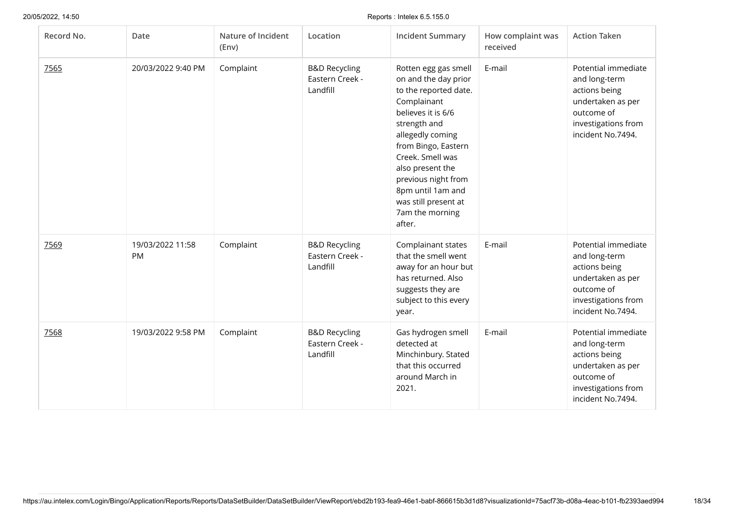| Record No. | Date                          | Nature of Incident<br>(Env) | Location                                                | <b>Incident Summary</b>                                                                                                                                                                                                                                                                                        | How complaint was<br>received | <b>Action Taken</b>                                                                                                                  |
|------------|-------------------------------|-----------------------------|---------------------------------------------------------|----------------------------------------------------------------------------------------------------------------------------------------------------------------------------------------------------------------------------------------------------------------------------------------------------------------|-------------------------------|--------------------------------------------------------------------------------------------------------------------------------------|
| 7565       | 20/03/2022 9:40 PM            | Complaint                   | <b>B&amp;D Recycling</b><br>Eastern Creek -<br>Landfill | Rotten egg gas smell<br>on and the day prior<br>to the reported date.<br>Complainant<br>believes it is 6/6<br>strength and<br>allegedly coming<br>from Bingo, Eastern<br>Creek. Smell was<br>also present the<br>previous night from<br>8pm until 1am and<br>was still present at<br>7am the morning<br>after. | E-mail                        | Potential immediate<br>and long-term<br>actions being<br>undertaken as per<br>outcome of<br>investigations from<br>incident No.7494. |
| 7569       | 19/03/2022 11:58<br><b>PM</b> | Complaint                   | <b>B&amp;D Recycling</b><br>Eastern Creek -<br>Landfill | Complainant states<br>that the smell went<br>away for an hour but<br>has returned. Also<br>suggests they are<br>subject to this every<br>year.                                                                                                                                                                 | E-mail                        | Potential immediate<br>and long-term<br>actions being<br>undertaken as per<br>outcome of<br>investigations from<br>incident No.7494. |
| 7568       | 19/03/2022 9:58 PM            | Complaint                   | <b>B&amp;D Recycling</b><br>Eastern Creek -<br>Landfill | Gas hydrogen smell<br>detected at<br>Minchinbury. Stated<br>that this occurred<br>around March in<br>2021.                                                                                                                                                                                                     | E-mail                        | Potential immediate<br>and long-term<br>actions being<br>undertaken as per<br>outcome of<br>investigations from<br>incident No.7494. |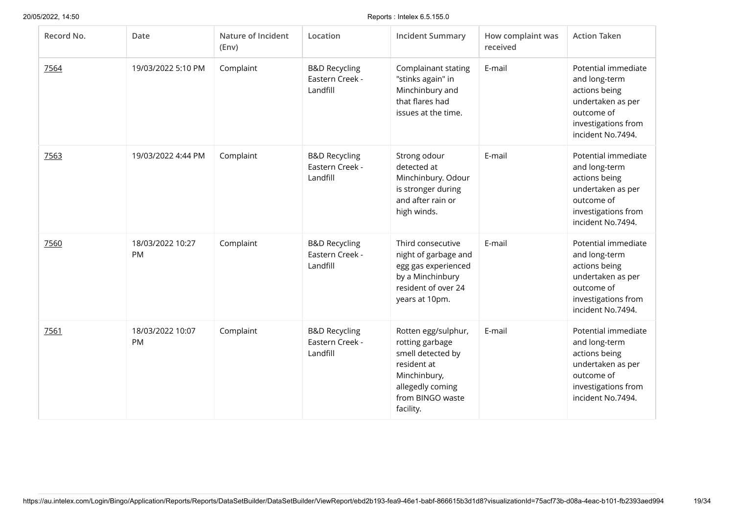| Record No. | Date                   | Nature of Incident<br>(Env) | Location                                                | <b>Incident Summary</b>                                                                                                                         | How complaint was<br>received | <b>Action Taken</b>                                                                                                                  |
|------------|------------------------|-----------------------------|---------------------------------------------------------|-------------------------------------------------------------------------------------------------------------------------------------------------|-------------------------------|--------------------------------------------------------------------------------------------------------------------------------------|
| 7564       | 19/03/2022 5:10 PM     | Complaint                   | <b>B&amp;D Recycling</b><br>Eastern Creek -<br>Landfill | Complainant stating<br>"stinks again" in<br>Minchinbury and<br>that flares had<br>issues at the time.                                           | E-mail                        | Potential immediate<br>and long-term<br>actions being<br>undertaken as per<br>outcome of<br>investigations from<br>incident No.7494. |
| 7563       | 19/03/2022 4:44 PM     | Complaint                   | <b>B&amp;D Recycling</b><br>Eastern Creek -<br>Landfill | Strong odour<br>detected at<br>Minchinbury. Odour<br>is stronger during<br>and after rain or<br>high winds.                                     | E-mail                        | Potential immediate<br>and long-term<br>actions being<br>undertaken as per<br>outcome of<br>investigations from<br>incident No.7494. |
| 7560       | 18/03/2022 10:27<br>PM | Complaint                   | <b>B&amp;D Recycling</b><br>Eastern Creek -<br>Landfill | Third consecutive<br>night of garbage and<br>egg gas experienced<br>by a Minchinbury<br>resident of over 24<br>years at 10pm.                   | E-mail                        | Potential immediate<br>and long-term<br>actions being<br>undertaken as per<br>outcome of<br>investigations from<br>incident No.7494. |
| 7561       | 18/03/2022 10:07<br>PM | Complaint                   | <b>B&amp;D Recycling</b><br>Eastern Creek -<br>Landfill | Rotten egg/sulphur,<br>rotting garbage<br>smell detected by<br>resident at<br>Minchinbury,<br>allegedly coming<br>from BINGO waste<br>facility. | E-mail                        | Potential immediate<br>and long-term<br>actions being<br>undertaken as per<br>outcome of<br>investigations from<br>incident No.7494. |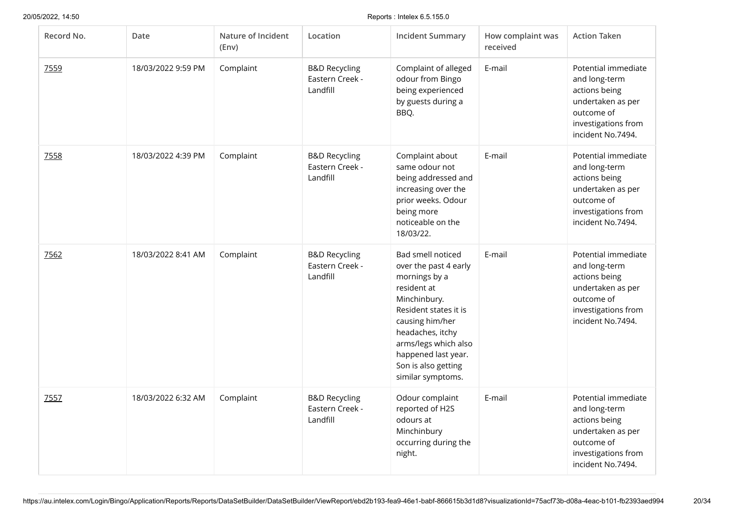| Record No. | Date               | Nature of Incident<br>(Env) | Location                                                | <b>Incident Summary</b>                                                                                                                                                                                                                               | How complaint was<br>received | <b>Action Taken</b>                                                                                                                  |
|------------|--------------------|-----------------------------|---------------------------------------------------------|-------------------------------------------------------------------------------------------------------------------------------------------------------------------------------------------------------------------------------------------------------|-------------------------------|--------------------------------------------------------------------------------------------------------------------------------------|
| 7559       | 18/03/2022 9:59 PM | Complaint                   | <b>B&amp;D Recycling</b><br>Eastern Creek -<br>Landfill | Complaint of alleged<br>odour from Bingo<br>being experienced<br>by guests during a<br>BBQ.                                                                                                                                                           | E-mail                        | Potential immediate<br>and long-term<br>actions being<br>undertaken as per<br>outcome of<br>investigations from<br>incident No.7494. |
| 7558       | 18/03/2022 4:39 PM | Complaint                   | <b>B&amp;D Recycling</b><br>Eastern Creek -<br>Landfill | Complaint about<br>same odour not<br>being addressed and<br>increasing over the<br>prior weeks. Odour<br>being more<br>noticeable on the<br>18/03/22.                                                                                                 | E-mail                        | Potential immediate<br>and long-term<br>actions being<br>undertaken as per<br>outcome of<br>investigations from<br>incident No.7494. |
| 7562       | 18/03/2022 8:41 AM | Complaint                   | <b>B&amp;D Recycling</b><br>Eastern Creek -<br>Landfill | Bad smell noticed<br>over the past 4 early<br>mornings by a<br>resident at<br>Minchinbury.<br>Resident states it is<br>causing him/her<br>headaches, itchy<br>arms/legs which also<br>happened last year.<br>Son is also getting<br>similar symptoms. | E-mail                        | Potential immediate<br>and long-term<br>actions being<br>undertaken as per<br>outcome of<br>investigations from<br>incident No.7494. |
| 7557       | 18/03/2022 6:32 AM | Complaint                   | <b>B&amp;D Recycling</b><br>Eastern Creek -<br>Landfill | Odour complaint<br>reported of H2S<br>odours at<br>Minchinbury<br>occurring during the<br>night.                                                                                                                                                      | E-mail                        | Potential immediate<br>and long-term<br>actions being<br>undertaken as per<br>outcome of<br>investigations from<br>incident No.7494. |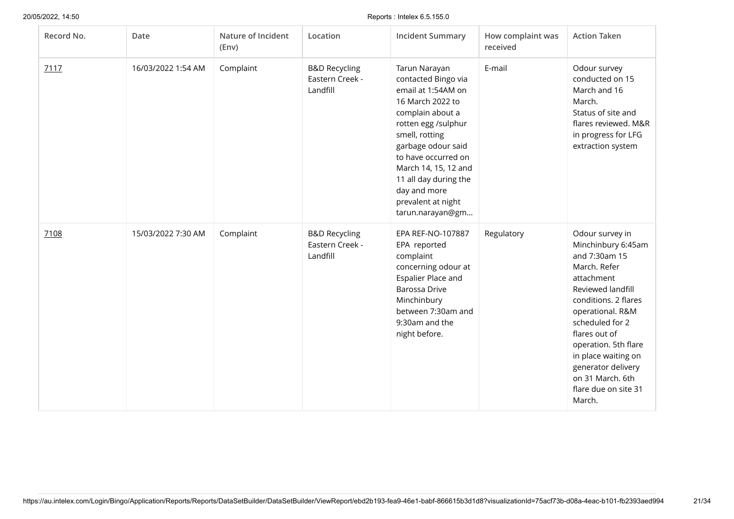| Record No. | Date               | Nature of Incident<br>(Env) | Location                                                | <b>Incident Summary</b>                                                                                                                                                                                                                                                                             | How complaint was<br>received | <b>Action Taken</b>                                                                                                                                                                                                                                                                                                  |
|------------|--------------------|-----------------------------|---------------------------------------------------------|-----------------------------------------------------------------------------------------------------------------------------------------------------------------------------------------------------------------------------------------------------------------------------------------------------|-------------------------------|----------------------------------------------------------------------------------------------------------------------------------------------------------------------------------------------------------------------------------------------------------------------------------------------------------------------|
| 7117       | 16/03/2022 1:54 AM | Complaint                   | <b>B&amp;D Recycling</b><br>Eastern Creek -<br>Landfill | Tarun Narayan<br>contacted Bingo via<br>email at 1:54AM on<br>16 March 2022 to<br>complain about a<br>rotten egg /sulphur<br>smell, rotting<br>garbage odour said<br>to have occurred on<br>March 14, 15, 12 and<br>11 all day during the<br>day and more<br>prevalent at night<br>tarun.narayan@gm | E-mail                        | Odour survey<br>conducted on 15<br>March and 16<br>March.<br>Status of site and<br>flares reviewed. M&R<br>in progress for LFG<br>extraction system                                                                                                                                                                  |
| 7108       | 15/03/2022 7:30 AM | Complaint                   | <b>B&amp;D Recycling</b><br>Eastern Creek -<br>Landfill | EPA REF-NO-107887<br>EPA reported<br>complaint<br>concerning odour at<br>Espalier Place and<br><b>Barossa Drive</b><br>Minchinbury<br>between 7:30am and<br>9:30am and the<br>night before.                                                                                                         | Regulatory                    | Odour survey in<br>Minchinbury 6:45am<br>and 7:30am 15<br>March. Refer<br>attachment<br>Reviewed landfill<br>conditions. 2 flares<br>operational. R&M<br>scheduled for 2<br>flares out of<br>operation. 5th flare<br>in place waiting on<br>generator delivery<br>on 31 March. 6th<br>flare due on site 31<br>March. |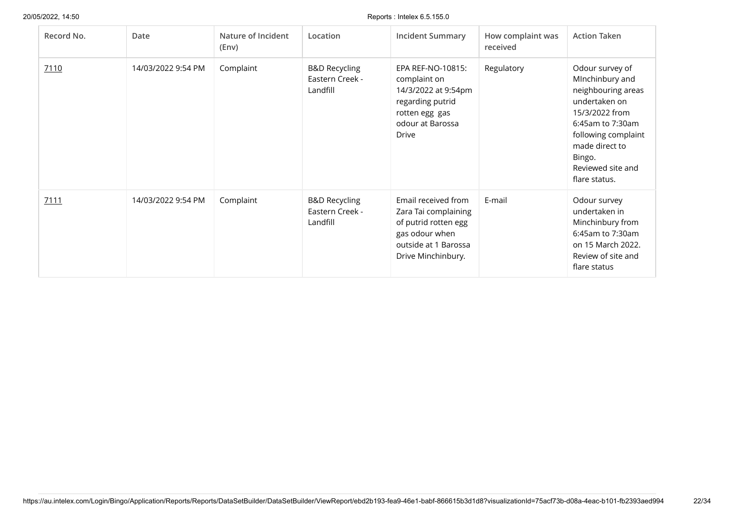| Record No. | Date               | Nature of Incident<br>(Env) | Location                                                | <b>Incident Summary</b>                                                                                                             | How complaint was<br>received | <b>Action Taken</b>                                                                                                                                                                                      |
|------------|--------------------|-----------------------------|---------------------------------------------------------|-------------------------------------------------------------------------------------------------------------------------------------|-------------------------------|----------------------------------------------------------------------------------------------------------------------------------------------------------------------------------------------------------|
| 7110       | 14/03/2022 9:54 PM | Complaint                   | <b>B&amp;D Recycling</b><br>Eastern Creek -<br>Landfill | EPA REF-NO-10815:<br>complaint on<br>14/3/2022 at 9:54pm<br>regarding putrid<br>rotten egg gas<br>odour at Barossa<br>Drive         | Regulatory                    | Odour survey of<br>MInchinbury and<br>neighbouring areas<br>undertaken on<br>15/3/2022 from<br>6:45am to 7:30am<br>following complaint<br>made direct to<br>Bingo.<br>Reviewed site and<br>flare status. |
| 7111       | 14/03/2022 9:54 PM | Complaint                   | <b>B&amp;D Recycling</b><br>Eastern Creek -<br>Landfill | Email received from<br>Zara Tai complaining<br>of putrid rotten egg<br>gas odour when<br>outside at 1 Barossa<br>Drive Minchinbury. | E-mail                        | Odour survey<br>undertaken in<br>Minchinbury from<br>6:45am to 7:30am<br>on 15 March 2022.<br>Review of site and<br>flare status                                                                         |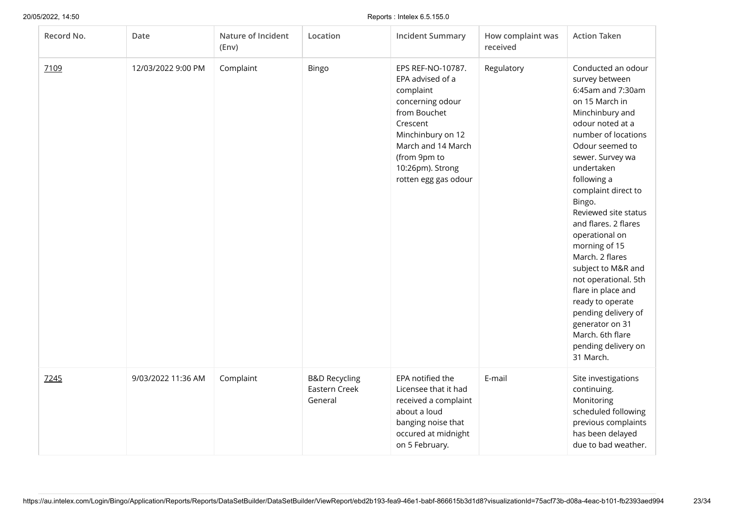| Record No. | Date               | Nature of Incident<br>(Env) | Location                                             | <b>Incident Summary</b>                                                                                                                                                                                   | How complaint was<br>received | <b>Action Taken</b>                                                                                                                                                                                                                                                                                                                                                                                                                                                                                                                            |
|------------|--------------------|-----------------------------|------------------------------------------------------|-----------------------------------------------------------------------------------------------------------------------------------------------------------------------------------------------------------|-------------------------------|------------------------------------------------------------------------------------------------------------------------------------------------------------------------------------------------------------------------------------------------------------------------------------------------------------------------------------------------------------------------------------------------------------------------------------------------------------------------------------------------------------------------------------------------|
| 7109       | 12/03/2022 9:00 PM | Complaint                   | Bingo                                                | EPS REF-NO-10787.<br>EPA advised of a<br>complaint<br>concerning odour<br>from Bouchet<br>Crescent<br>Minchinbury on 12<br>March and 14 March<br>(from 9pm to<br>10:26pm). Strong<br>rotten egg gas odour | Regulatory                    | Conducted an odour<br>survey between<br>6:45am and 7:30am<br>on 15 March in<br>Minchinbury and<br>odour noted at a<br>number of locations<br>Odour seemed to<br>sewer. Survey wa<br>undertaken<br>following a<br>complaint direct to<br>Bingo.<br>Reviewed site status<br>and flares. 2 flares<br>operational on<br>morning of 15<br>March. 2 flares<br>subject to M&R and<br>not operational. 5th<br>flare in place and<br>ready to operate<br>pending delivery of<br>generator on 31<br>March. 6th flare<br>pending delivery on<br>31 March. |
| 7245       | 9/03/2022 11:36 AM | Complaint                   | <b>B&amp;D Recycling</b><br>Eastern Creek<br>General | EPA notified the<br>Licensee that it had<br>received a complaint<br>about a loud<br>banging noise that<br>occured at midnight<br>on 5 February.                                                           | E-mail                        | Site investigations<br>continuing.<br>Monitoring<br>scheduled following<br>previous complaints<br>has been delayed<br>due to bad weather.                                                                                                                                                                                                                                                                                                                                                                                                      |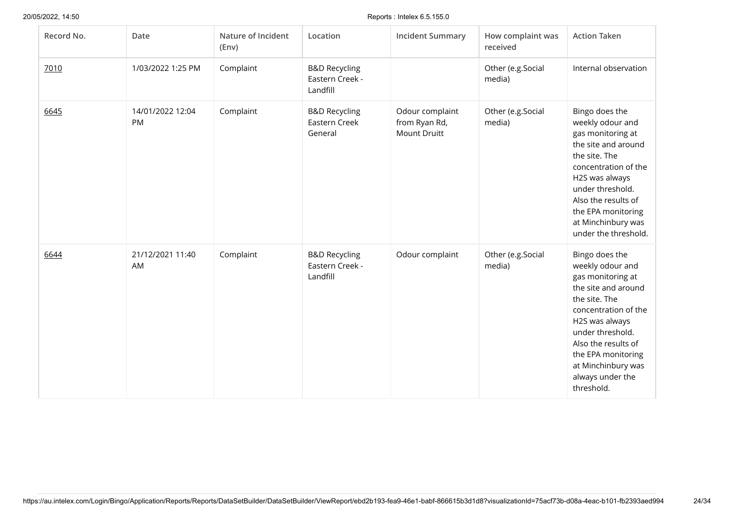| Record No. | Date                   | Nature of Incident<br>(Env) | Location                                                | <b>Incident Summary</b>                                 | How complaint was<br>received | <b>Action Taken</b>                                                                                                                                                                                                                                                |
|------------|------------------------|-----------------------------|---------------------------------------------------------|---------------------------------------------------------|-------------------------------|--------------------------------------------------------------------------------------------------------------------------------------------------------------------------------------------------------------------------------------------------------------------|
| 7010       | 1/03/2022 1:25 PM      | Complaint                   | <b>B&amp;D Recycling</b><br>Eastern Creek -<br>Landfill |                                                         | Other (e.g.Social<br>media)   | Internal observation                                                                                                                                                                                                                                               |
| 6645       | 14/01/2022 12:04<br>PM | Complaint                   | <b>B&amp;D Recycling</b><br>Eastern Creek<br>General    | Odour complaint<br>from Ryan Rd,<br><b>Mount Druitt</b> | Other (e.g.Social<br>media)   | Bingo does the<br>weekly odour and<br>gas monitoring at<br>the site and around<br>the site. The<br>concentration of the<br>H2S was always<br>under threshold.<br>Also the results of<br>the EPA monitoring<br>at Minchinbury was<br>under the threshold.           |
| 6644       | 21/12/2021 11:40<br>AM | Complaint                   | <b>B&amp;D Recycling</b><br>Eastern Creek -<br>Landfill | Odour complaint                                         | Other (e.g.Social<br>media)   | Bingo does the<br>weekly odour and<br>gas monitoring at<br>the site and around<br>the site. The<br>concentration of the<br>H2S was always<br>under threshold.<br>Also the results of<br>the EPA monitoring<br>at Minchinbury was<br>always under the<br>threshold. |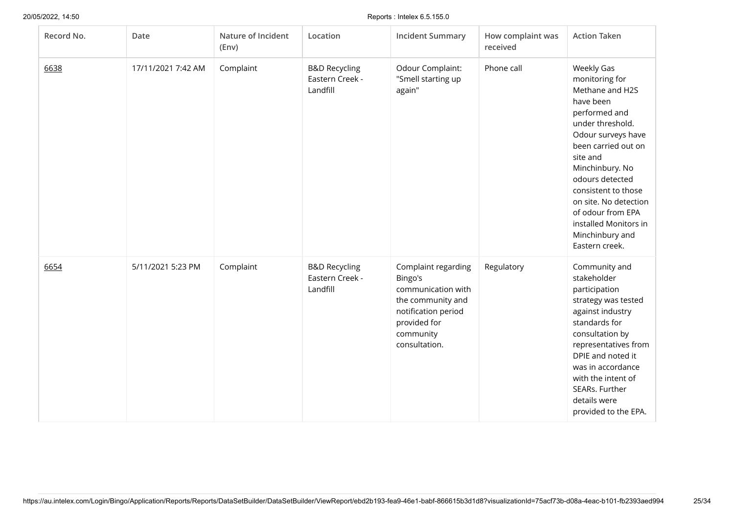| Record No. | Date               | Nature of Incident<br>(Env) | Location                                                | <b>Incident Summary</b>                                                                                                                        | How complaint was<br>received | <b>Action Taken</b>                                                                                                                                                                                                                                                                                                                 |
|------------|--------------------|-----------------------------|---------------------------------------------------------|------------------------------------------------------------------------------------------------------------------------------------------------|-------------------------------|-------------------------------------------------------------------------------------------------------------------------------------------------------------------------------------------------------------------------------------------------------------------------------------------------------------------------------------|
| 6638       | 17/11/2021 7:42 AM | Complaint                   | <b>B&amp;D Recycling</b><br>Eastern Creek -<br>Landfill | Odour Complaint:<br>"Smell starting up<br>again"                                                                                               | Phone call                    | Weekly Gas<br>monitoring for<br>Methane and H2S<br>have been<br>performed and<br>under threshold.<br>Odour surveys have<br>been carried out on<br>site and<br>Minchinbury. No<br>odours detected<br>consistent to those<br>on site. No detection<br>of odour from EPA<br>installed Monitors in<br>Minchinbury and<br>Eastern creek. |
| 6654       | 5/11/2021 5:23 PM  | Complaint                   | <b>B&amp;D Recycling</b><br>Eastern Creek -<br>Landfill | Complaint regarding<br>Bingo's<br>communication with<br>the community and<br>notification period<br>provided for<br>community<br>consultation. | Regulatory                    | Community and<br>stakeholder<br>participation<br>strategy was tested<br>against industry<br>standards for<br>consultation by<br>representatives from<br>DPIE and noted it<br>was in accordance<br>with the intent of<br>SEARs. Further<br>details were<br>provided to the EPA.                                                      |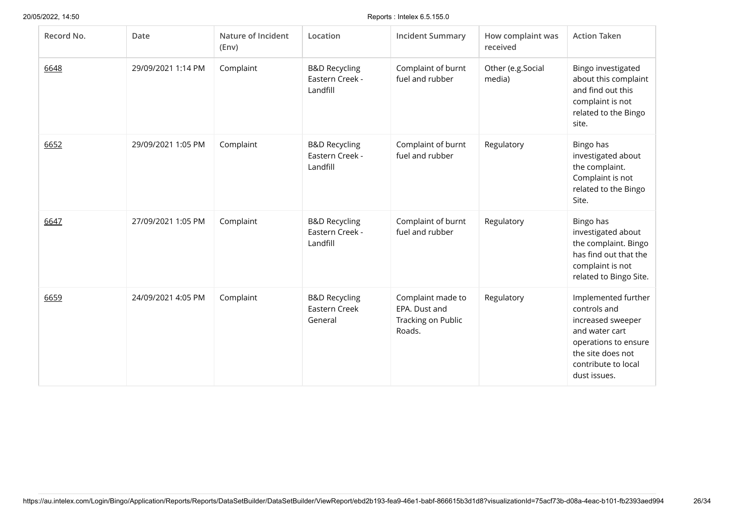| Record No. | Date               | Nature of Incident<br>(Env) | Location                                                | <b>Incident Summary</b>                                            | How complaint was<br>received | <b>Action Taken</b>                                                                                                                                            |
|------------|--------------------|-----------------------------|---------------------------------------------------------|--------------------------------------------------------------------|-------------------------------|----------------------------------------------------------------------------------------------------------------------------------------------------------------|
| 6648       | 29/09/2021 1:14 PM | Complaint                   | <b>B&amp;D Recycling</b><br>Eastern Creek -<br>Landfill | Complaint of burnt<br>fuel and rubber                              | Other (e.g.Social<br>media)   | Bingo investigated<br>about this complaint<br>and find out this<br>complaint is not<br>related to the Bingo<br>site.                                           |
| 6652       | 29/09/2021 1:05 PM | Complaint                   | <b>B&amp;D Recycling</b><br>Eastern Creek -<br>Landfill | Complaint of burnt<br>fuel and rubber                              | Regulatory                    | Bingo has<br>investigated about<br>the complaint.<br>Complaint is not<br>related to the Bingo<br>Site.                                                         |
| 6647       | 27/09/2021 1:05 PM | Complaint                   | <b>B&amp;D Recycling</b><br>Eastern Creek -<br>Landfill | Complaint of burnt<br>fuel and rubber                              | Regulatory                    | Bingo has<br>investigated about<br>the complaint. Bingo<br>has find out that the<br>complaint is not<br>related to Bingo Site.                                 |
| 6659       | 24/09/2021 4:05 PM | Complaint                   | <b>B&amp;D Recycling</b><br>Eastern Creek<br>General    | Complaint made to<br>EPA. Dust and<br>Tracking on Public<br>Roads. | Regulatory                    | Implemented further<br>controls and<br>increased sweeper<br>and water cart<br>operations to ensure<br>the site does not<br>contribute to local<br>dust issues. |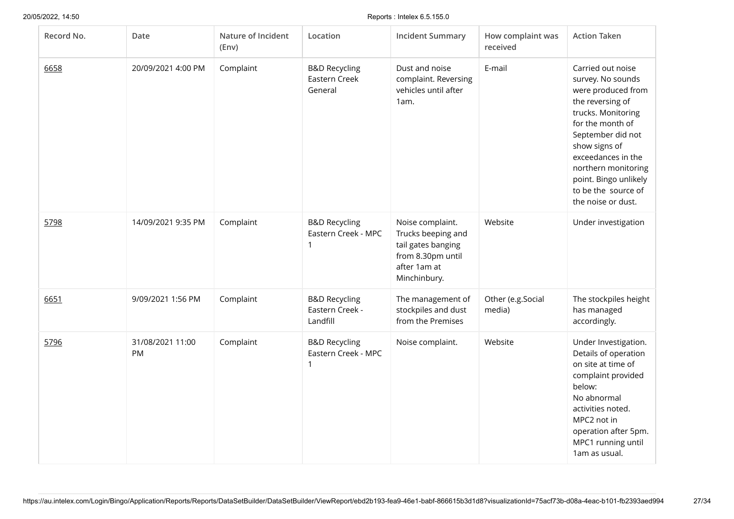| Record No. | Date                   | Nature of Incident<br>(Env) | Location                                                | <b>Incident Summary</b>                                                                                           | How complaint was<br>received | <b>Action Taken</b>                                                                                                                                                                                                                                                                 |
|------------|------------------------|-----------------------------|---------------------------------------------------------|-------------------------------------------------------------------------------------------------------------------|-------------------------------|-------------------------------------------------------------------------------------------------------------------------------------------------------------------------------------------------------------------------------------------------------------------------------------|
| 6658       | 20/09/2021 4:00 PM     | Complaint                   | <b>B&amp;D Recycling</b><br>Eastern Creek<br>General    | Dust and noise<br>complaint. Reversing<br>vehicles until after<br>1am.                                            | E-mail                        | Carried out noise<br>survey. No sounds<br>were produced from<br>the reversing of<br>trucks. Monitoring<br>for the month of<br>September did not<br>show signs of<br>exceedances in the<br>northern monitoring<br>point. Bingo unlikely<br>to be the source of<br>the noise or dust. |
| 5798       | 14/09/2021 9:35 PM     | Complaint                   | <b>B&amp;D Recycling</b><br>Eastern Creek - MPC         | Noise complaint.<br>Trucks beeping and<br>tail gates banging<br>from 8.30pm until<br>after 1am at<br>Minchinbury. | Website                       | Under investigation                                                                                                                                                                                                                                                                 |
| 6651       | 9/09/2021 1:56 PM      | Complaint                   | <b>B&amp;D Recycling</b><br>Eastern Creek -<br>Landfill | The management of<br>stockpiles and dust<br>from the Premises                                                     | Other (e.g.Social<br>media)   | The stockpiles height<br>has managed<br>accordingly.                                                                                                                                                                                                                                |
| 5796       | 31/08/2021 11:00<br>PM | Complaint                   | <b>B&amp;D Recycling</b><br>Eastern Creek - MPC<br>1    | Noise complaint.                                                                                                  | Website                       | Under Investigation.<br>Details of operation<br>on site at time of<br>complaint provided<br>below:<br>No abnormal<br>activities noted.<br>MPC2 not in<br>operation after 5pm.<br>MPC1 running until<br>1am as usual.                                                                |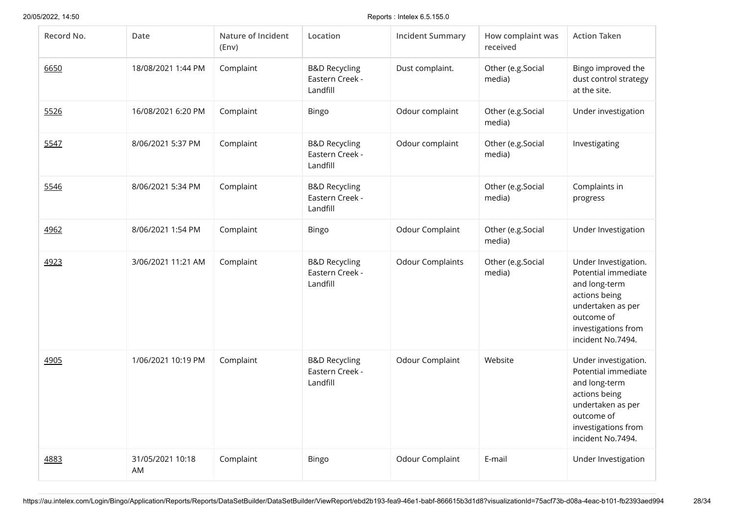| Record No. | Date                   | Nature of Incident<br>(Env) | Location                                                | <b>Incident Summary</b> | How complaint was<br>received | <b>Action Taken</b>                                                                                                                                          |
|------------|------------------------|-----------------------------|---------------------------------------------------------|-------------------------|-------------------------------|--------------------------------------------------------------------------------------------------------------------------------------------------------------|
| 6650       | 18/08/2021 1:44 PM     | Complaint                   | <b>B&amp;D Recycling</b><br>Eastern Creek -<br>Landfill | Dust complaint.         | Other (e.g.Social<br>media)   | Bingo improved the<br>dust control strategy<br>at the site.                                                                                                  |
| 5526       | 16/08/2021 6:20 PM     | Complaint                   | Bingo                                                   | Odour complaint         | Other (e.g.Social<br>media)   | Under investigation                                                                                                                                          |
| 5547       | 8/06/2021 5:37 PM      | Complaint                   | <b>B&amp;D Recycling</b><br>Eastern Creek -<br>Landfill | Odour complaint         | Other (e.g.Social<br>media)   | Investigating                                                                                                                                                |
| 5546       | 8/06/2021 5:34 PM      | Complaint                   | <b>B&amp;D Recycling</b><br>Eastern Creek -<br>Landfill |                         | Other (e.g.Social<br>media)   | Complaints in<br>progress                                                                                                                                    |
| 4962       | 8/06/2021 1:54 PM      | Complaint                   | Bingo                                                   | Odour Complaint         | Other (e.g.Social<br>media)   | Under Investigation                                                                                                                                          |
| 4923       | 3/06/2021 11:21 AM     | Complaint                   | <b>B&amp;D Recycling</b><br>Eastern Creek -<br>Landfill | <b>Odour Complaints</b> | Other (e.g.Social<br>media)   | Under Investigation.<br>Potential immediate<br>and long-term<br>actions being<br>undertaken as per<br>outcome of<br>investigations from<br>incident No.7494. |
| 4905       | 1/06/2021 10:19 PM     | Complaint                   | <b>B&amp;D Recycling</b><br>Eastern Creek -<br>Landfill | Odour Complaint         | Website                       | Under investigation.<br>Potential immediate<br>and long-term<br>actions being<br>undertaken as per<br>outcome of<br>investigations from<br>incident No.7494. |
| 4883       | 31/05/2021 10:18<br>AM | Complaint                   | Bingo                                                   | Odour Complaint         | E-mail                        | Under Investigation                                                                                                                                          |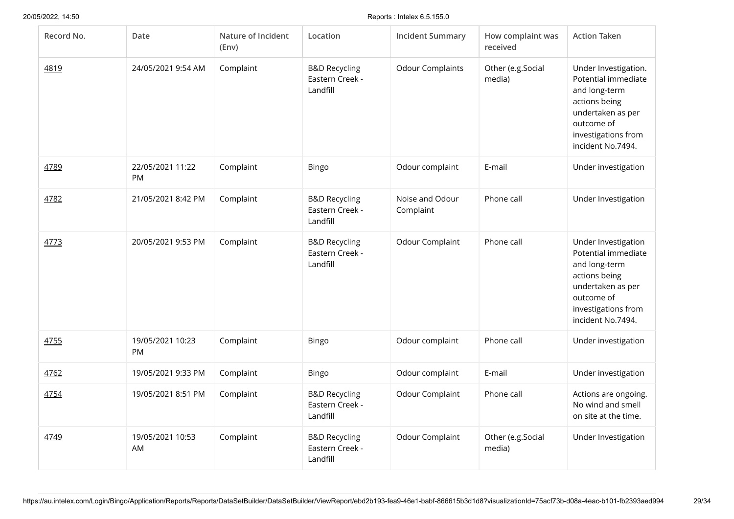| Record No. | Date                   | Nature of Incident<br>(Env) | Location                                                | <b>Incident Summary</b>      | How complaint was<br>received | <b>Action Taken</b>                                                                                                                                          |
|------------|------------------------|-----------------------------|---------------------------------------------------------|------------------------------|-------------------------------|--------------------------------------------------------------------------------------------------------------------------------------------------------------|
| 4819       | 24/05/2021 9:54 AM     | Complaint                   | <b>B&amp;D Recycling</b><br>Eastern Creek -<br>Landfill | <b>Odour Complaints</b>      | Other (e.g.Social<br>media)   | Under Investigation.<br>Potential immediate<br>and long-term<br>actions being<br>undertaken as per<br>outcome of<br>investigations from<br>incident No.7494. |
| 4789       | 22/05/2021 11:22<br>PM | Complaint                   | Bingo                                                   | Odour complaint              | E-mail                        | Under investigation                                                                                                                                          |
| 4782       | 21/05/2021 8:42 PM     | Complaint                   | <b>B&amp;D Recycling</b><br>Eastern Creek -<br>Landfill | Noise and Odour<br>Complaint | Phone call                    | Under Investigation                                                                                                                                          |
| 4773       | 20/05/2021 9:53 PM     | Complaint                   | <b>B&amp;D Recycling</b><br>Eastern Creek -<br>Landfill | Odour Complaint              | Phone call                    | Under Investigation<br>Potential immediate<br>and long-term<br>actions being<br>undertaken as per<br>outcome of<br>investigations from<br>incident No.7494.  |
| 4755       | 19/05/2021 10:23<br>PM | Complaint                   | Bingo                                                   | Odour complaint              | Phone call                    | Under investigation                                                                                                                                          |
| 4762       | 19/05/2021 9:33 PM     | Complaint                   | Bingo                                                   | Odour complaint              | E-mail                        | Under investigation                                                                                                                                          |
| 4754       | 19/05/2021 8:51 PM     | Complaint                   | <b>B&amp;D Recycling</b><br>Eastern Creek -<br>Landfill | Odour Complaint              | Phone call                    | Actions are ongoing.<br>No wind and smell<br>on site at the time.                                                                                            |
| 4749       | 19/05/2021 10:53<br>AM | Complaint                   | <b>B&amp;D Recycling</b><br>Eastern Creek -<br>Landfill | Odour Complaint              | Other (e.g.Social<br>media)   | Under Investigation                                                                                                                                          |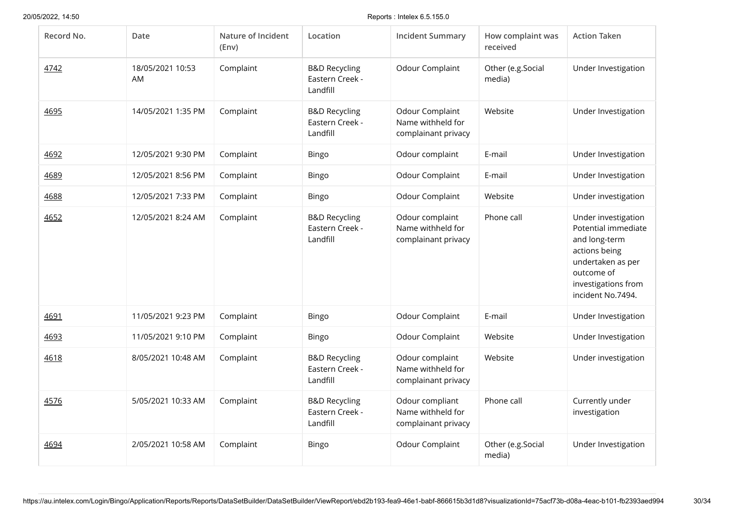| Record No. | Date                   | Nature of Incident<br>(Env) | Location                                                | <b>Incident Summary</b>                                     | How complaint was<br>received | <b>Action Taken</b>                                                                                                                                         |
|------------|------------------------|-----------------------------|---------------------------------------------------------|-------------------------------------------------------------|-------------------------------|-------------------------------------------------------------------------------------------------------------------------------------------------------------|
| 4742       | 18/05/2021 10:53<br>AM | Complaint                   | <b>B&amp;D Recycling</b><br>Eastern Creek -<br>Landfill | Odour Complaint                                             | Other (e.g.Social<br>media)   | Under Investigation                                                                                                                                         |
| 4695       | 14/05/2021 1:35 PM     | Complaint                   | <b>B&amp;D Recycling</b><br>Eastern Creek -<br>Landfill | Odour Complaint<br>Name withheld for<br>complainant privacy | Website                       | Under Investigation                                                                                                                                         |
| 4692       | 12/05/2021 9:30 PM     | Complaint                   | <b>Bingo</b>                                            | Odour complaint                                             | E-mail                        | Under Investigation                                                                                                                                         |
| 4689       | 12/05/2021 8:56 PM     | Complaint                   | <b>Bingo</b>                                            | Odour Complaint                                             | E-mail                        | Under Investigation                                                                                                                                         |
| 4688       | 12/05/2021 7:33 PM     | Complaint                   | <b>Bingo</b>                                            | Odour Complaint                                             | Website                       | Under investigation                                                                                                                                         |
| 4652       | 12/05/2021 8:24 AM     | Complaint                   | <b>B&amp;D Recycling</b><br>Eastern Creek -<br>Landfill | Odour complaint<br>Name withheld for<br>complainant privacy | Phone call                    | Under investigation<br>Potential immediate<br>and long-term<br>actions being<br>undertaken as per<br>outcome of<br>investigations from<br>incident No.7494. |
| 4691       | 11/05/2021 9:23 PM     | Complaint                   | Bingo                                                   | Odour Complaint                                             | E-mail                        | Under Investigation                                                                                                                                         |
| 4693       | 11/05/2021 9:10 PM     | Complaint                   | <b>Bingo</b>                                            | Odour Complaint                                             | Website                       | Under Investigation                                                                                                                                         |
| 4618       | 8/05/2021 10:48 AM     | Complaint                   | <b>B&amp;D Recycling</b><br>Eastern Creek -<br>Landfill | Odour complaint<br>Name withheld for<br>complainant privacy | Website                       | Under investigation                                                                                                                                         |
| 4576       | 5/05/2021 10:33 AM     | Complaint                   | <b>B&amp;D Recycling</b><br>Eastern Creek -<br>Landfill | Odour compliant<br>Name withheld for<br>complainant privacy | Phone call                    | Currently under<br>investigation                                                                                                                            |
| 4694       | 2/05/2021 10:58 AM     | Complaint                   | Bingo                                                   | Odour Complaint                                             | Other (e.g.Social<br>media)   | Under Investigation                                                                                                                                         |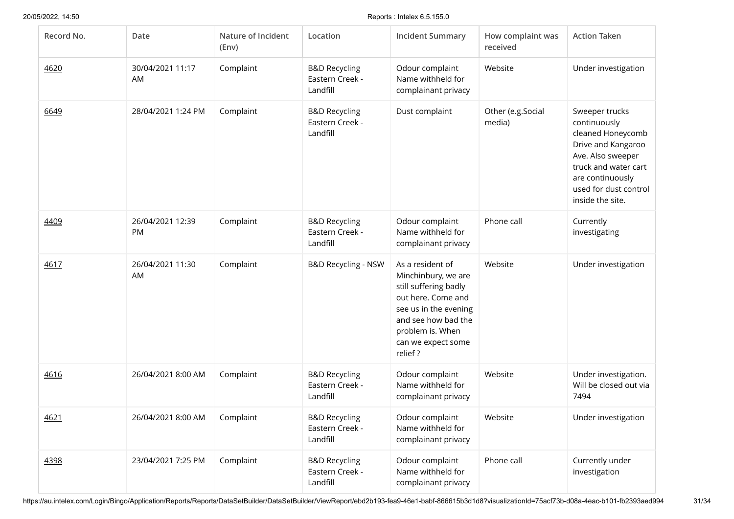| Record No. | Date                            | Nature of Incident<br>(Env) | Location                                                | <b>Incident Summary</b>                                                                                                                                                                     | How complaint was<br>received | <b>Action Taken</b>                                                                                                                                                                     |
|------------|---------------------------------|-----------------------------|---------------------------------------------------------|---------------------------------------------------------------------------------------------------------------------------------------------------------------------------------------------|-------------------------------|-----------------------------------------------------------------------------------------------------------------------------------------------------------------------------------------|
| 4620       | 30/04/2021 11:17<br>AM          | Complaint                   | <b>B&amp;D Recycling</b><br>Eastern Creek -<br>Landfill | Odour complaint<br>Name withheld for<br>complainant privacy                                                                                                                                 | Website                       | Under investigation                                                                                                                                                                     |
| 6649       | 28/04/2021 1:24 PM              | Complaint                   | <b>B&amp;D Recycling</b><br>Eastern Creek -<br>Landfill | Dust complaint                                                                                                                                                                              | Other (e.g.Social<br>media)   | Sweeper trucks<br>continuously<br>cleaned Honeycomb<br>Drive and Kangaroo<br>Ave. Also sweeper<br>truck and water cart<br>are continuously<br>used for dust control<br>inside the site. |
| 4409       | 26/04/2021 12:39<br>PM          | Complaint                   | <b>B&amp;D Recycling</b><br>Eastern Creek -<br>Landfill | Odour complaint<br>Name withheld for<br>complainant privacy                                                                                                                                 | Phone call                    | Currently<br>investigating                                                                                                                                                              |
| 4617       | 26/04/2021 11:30<br>AM          | Complaint                   | <b>B&amp;D Recycling - NSW</b>                          | As a resident of<br>Minchinbury, we are<br>still suffering badly<br>out here. Come and<br>see us in the evening<br>and see how bad the<br>problem is. When<br>can we expect some<br>relief? | Website                       | Under investigation                                                                                                                                                                     |
| 4616       | 26/04/2021 8:00 AM              | Complaint                   | <b>B&amp;D Recycling</b><br>Eastern Creek -<br>Landfill | Odour complaint<br>Name withheld for<br>complainant privacy                                                                                                                                 | Website                       | Under investigation.<br>Will be closed out via<br>7494                                                                                                                                  |
| 4621       | 26/04/2021 8:00 AM    Complaint |                             | <b>B&amp;D Recycling</b><br>Eastern Creek -<br>Landfill | Odour complaint<br>Name withheld for<br>complainant privacy                                                                                                                                 | Website                       | Under investigation                                                                                                                                                                     |
| 4398       | 23/04/2021 7:25 PM              | Complaint                   | <b>B&amp;D Recycling</b><br>Eastern Creek -<br>Landfill | Odour complaint<br>Name withheld for<br>complainant privacy                                                                                                                                 | Phone call                    | Currently under<br>investigation                                                                                                                                                        |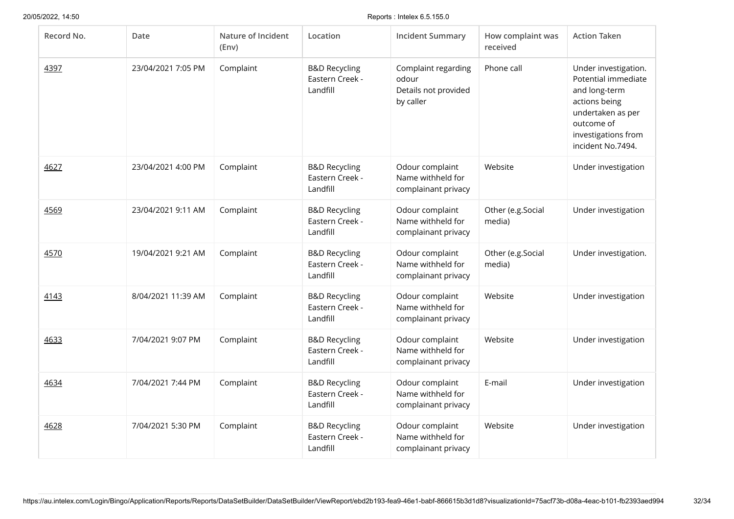| Record No. | Date               | Nature of Incident<br>(Env) | Location                                                | <b>Incident Summary</b>                                           | How complaint was<br>received | <b>Action Taken</b>                                                                                                                                          |
|------------|--------------------|-----------------------------|---------------------------------------------------------|-------------------------------------------------------------------|-------------------------------|--------------------------------------------------------------------------------------------------------------------------------------------------------------|
| 4397       | 23/04/2021 7:05 PM | Complaint                   | <b>B&amp;D Recycling</b><br>Eastern Creek -<br>Landfill | Complaint regarding<br>odour<br>Details not provided<br>by caller | Phone call                    | Under investigation.<br>Potential immediate<br>and long-term<br>actions being<br>undertaken as per<br>outcome of<br>investigations from<br>incident No.7494. |
| 4627       | 23/04/2021 4:00 PM | Complaint                   | <b>B&amp;D Recycling</b><br>Eastern Creek -<br>Landfill | Odour complaint<br>Name withheld for<br>complainant privacy       | Website                       | Under investigation                                                                                                                                          |
| 4569       | 23/04/2021 9:11 AM | Complaint                   | <b>B&amp;D Recycling</b><br>Eastern Creek -<br>Landfill | Odour complaint<br>Name withheld for<br>complainant privacy       | Other (e.g.Social<br>media)   | Under investigation                                                                                                                                          |
| 4570       | 19/04/2021 9:21 AM | Complaint                   | <b>B&amp;D Recycling</b><br>Eastern Creek -<br>Landfill | Odour complaint<br>Name withheld for<br>complainant privacy       | Other (e.g.Social<br>media)   | Under investigation.                                                                                                                                         |
| 4143       | 8/04/2021 11:39 AM | Complaint                   | <b>B&amp;D Recycling</b><br>Eastern Creek -<br>Landfill | Odour complaint<br>Name withheld for<br>complainant privacy       | Website                       | Under investigation                                                                                                                                          |
| 4633       | 7/04/2021 9:07 PM  | Complaint                   | <b>B&amp;D Recycling</b><br>Eastern Creek -<br>Landfill | Odour complaint<br>Name withheld for<br>complainant privacy       | Website                       | Under investigation                                                                                                                                          |
| 4634       | 7/04/2021 7:44 PM  | Complaint                   | <b>B&amp;D Recycling</b><br>Eastern Creek -<br>Landfill | Odour complaint<br>Name withheld for<br>complainant privacy       | E-mail                        | Under investigation                                                                                                                                          |
| 4628       | 7/04/2021 5:30 PM  | Complaint                   | <b>B&amp;D Recycling</b><br>Eastern Creek -<br>Landfill | Odour complaint<br>Name withheld for<br>complainant privacy       | Website                       | Under investigation                                                                                                                                          |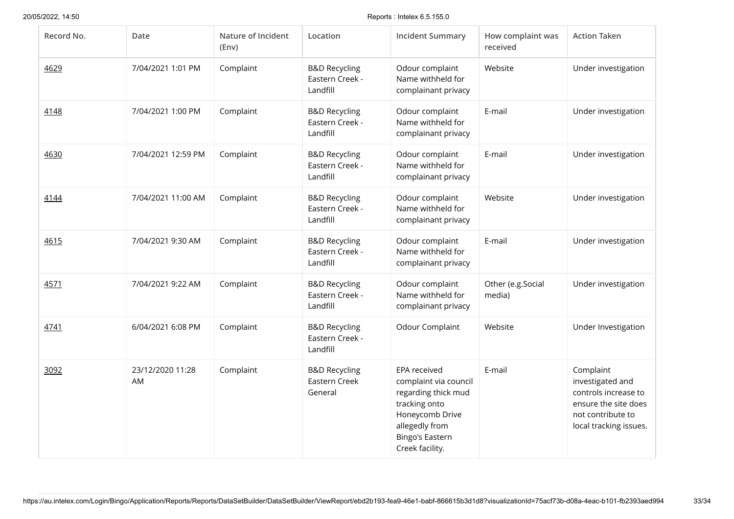| Record No. | Date                   | Nature of Incident<br>(Env) | Location                                                | <b>Incident Summary</b>                                                                                                                                         | How complaint was<br>received | <b>Action Taken</b>                                                                                                          |
|------------|------------------------|-----------------------------|---------------------------------------------------------|-----------------------------------------------------------------------------------------------------------------------------------------------------------------|-------------------------------|------------------------------------------------------------------------------------------------------------------------------|
| 4629       | 7/04/2021 1:01 PM      | Complaint                   | <b>B&amp;D Recycling</b><br>Eastern Creek -<br>Landfill | Odour complaint<br>Name withheld for<br>complainant privacy                                                                                                     | Website                       | Under investigation                                                                                                          |
| 4148       | 7/04/2021 1:00 PM      | Complaint                   | <b>B&amp;D Recycling</b><br>Eastern Creek -<br>Landfill | Odour complaint<br>Name withheld for<br>complainant privacy                                                                                                     | E-mail                        | Under investigation                                                                                                          |
| 4630       | 7/04/2021 12:59 PM     | Complaint                   | <b>B&amp;D Recycling</b><br>Eastern Creek -<br>Landfill | Odour complaint<br>Name withheld for<br>complainant privacy                                                                                                     | E-mail                        | Under investigation                                                                                                          |
| 4144       | 7/04/2021 11:00 AM     | Complaint                   | <b>B&amp;D Recycling</b><br>Eastern Creek -<br>Landfill | Odour complaint<br>Name withheld for<br>complainant privacy                                                                                                     | Website                       | Under investigation                                                                                                          |
| 4615       | 7/04/2021 9:30 AM      | Complaint                   | <b>B&amp;D Recycling</b><br>Eastern Creek -<br>Landfill | Odour complaint<br>Name withheld for<br>complainant privacy                                                                                                     | E-mail                        | Under investigation                                                                                                          |
| 4571       | 7/04/2021 9:22 AM      | Complaint                   | <b>B&amp;D Recycling</b><br>Eastern Creek -<br>Landfill | Odour complaint<br>Name withheld for<br>complainant privacy                                                                                                     | Other (e.g.Social<br>media)   | Under investigation                                                                                                          |
| 4741       | 6/04/2021 6:08 PM      | Complaint                   | <b>B&amp;D Recycling</b><br>Eastern Creek -<br>Landfill | Odour Complaint                                                                                                                                                 | Website                       | Under Investigation                                                                                                          |
| 3092       | 23/12/2020 11:28<br>AM | Complaint                   | <b>B&amp;D Recycling</b><br>Eastern Creek<br>General    | <b>EPA</b> received<br>complaint via council<br>regarding thick mud<br>tracking onto<br>Honeycomb Drive<br>allegedly from<br>Bingo's Eastern<br>Creek facility. | E-mail                        | Complaint<br>investigated and<br>controls increase to<br>ensure the site does<br>not contribute to<br>local tracking issues. |